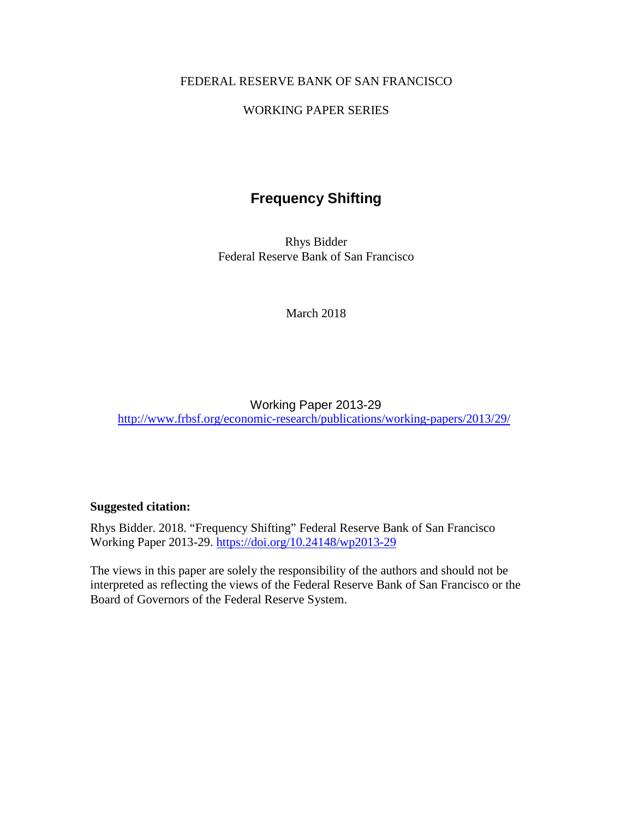## FEDERAL RESERVE BANK OF SAN FRANCISCO

## WORKING PAPER SERIES

# **Frequency Shifting**

Rhys Bidder Federal Reserve Bank of San Francisco

March 2018

## Working Paper 2013-29 <http://www.frbsf.org/economic-research/publications/working-papers/2013/29/>

### **Suggested citation:**

Rhys Bidder. 2018. "Frequency Shifting" Federal Reserve Bank of San Francisco Working Paper 2013-29.<https://doi.org/10.24148/wp2013-29>

The views in this paper are solely the responsibility of the authors and should not be interpreted as reflecting the views of the Federal Reserve Bank of San Francisco or the Board of Governors of the Federal Reserve System.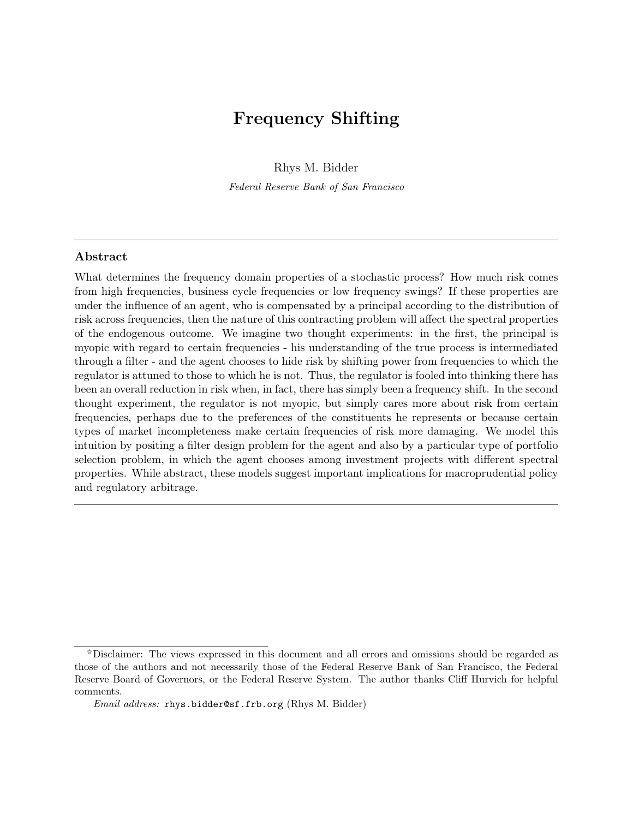# <span id="page-1-0"></span>Frequency Shifting

[Rhys M. Bidder](http://www.frbsf.org/economic-research/economists/rhys-bidder/)

[Federal Reserve Bank of San Francisco](http://www.frbsf.org/)

#### Abstract

What determines the frequency domain properties of a stochastic process? How much risk comes from high frequencies, business cycle frequencies or low frequency swings? If these properties are under the influence of an agent, who is compensated by a principal according to the distribution of risk across frequencies, then the nature of this contracting problem will affect the spectral properties of the endogenous outcome. We imagine two thought experiments: in the first, the principal is myopic with regard to certain frequencies - his understanding of the true process is intermediated through a filter - and the agent chooses to hide risk by shifting power from frequencies to which the regulator is attuned to those to which he is not. Thus, the regulator is fooled into thinking there has been an overall reduction in risk when, in fact, there has simply been a frequency shift. In the second thought experiment, the regulator is not myopic, but simply cares more about risk from certain frequencies, perhaps due to the preferences of the constituents he represents or because certain types of market incompleteness make certain frequencies of risk more damaging. We model this intuition by positing a filter design problem for the agent and also by a particular type of portfolio selection problem, in which the agent chooses among investment projects with different spectral properties. While abstract, these models suggest important implications for macroprudential policy and regulatory arbitrage.

<sup>✩</sup>Disclaimer: The views expressed in this document and all errors and omissions should be regarded as those of the authors and not necessarily those of the Federal Reserve Bank of San Francisco, the Federal Reserve Board of Governors, or the Federal Reserve System. The author thanks Cliff Hurvich for helpful comments.

Email address: [rhys.bidder@sf.frb.org](mailto:rhys.bidder@sf.frb.org) [\(Rhys M. Bidder\)](http://www.frbsf.org/economic-research/economists/rhys-bidder/)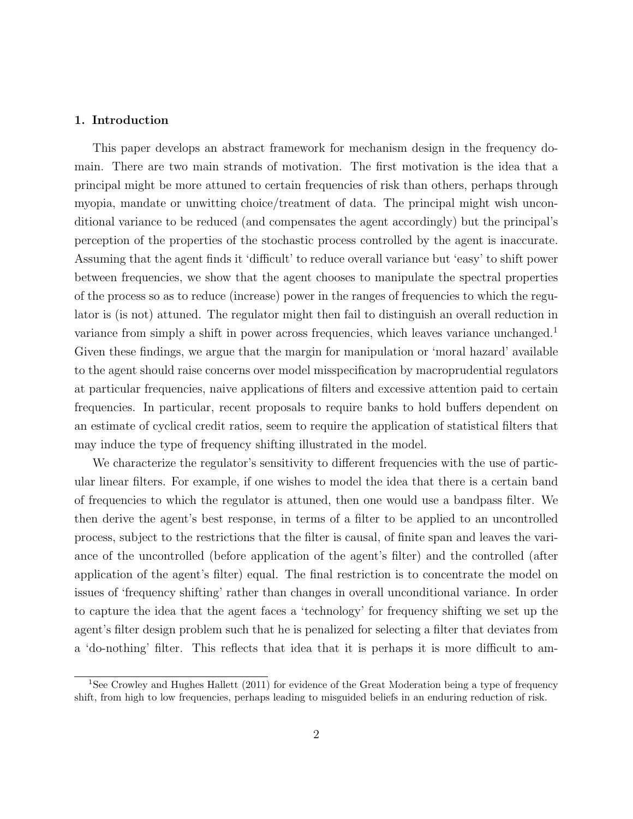#### 1. Introduction

This paper develops an abstract framework for mechanism design in the frequency domain. There are two main strands of motivation. The first motivation is the idea that a principal might be more attuned to certain frequencies of risk than others, perhaps through myopia, mandate or unwitting choice/treatment of data. The principal might wish unconditional variance to be reduced (and compensates the agent accordingly) but the principal's perception of the properties of the stochastic process controlled by the agent is inaccurate. Assuming that the agent finds it 'difficult' to reduce overall variance but 'easy' to shift power between frequencies, we show that the agent chooses to manipulate the spectral properties of the process so as to reduce (increase) power in the ranges of frequencies to which the regulator is (is not) attuned. The regulator might then fail to distinguish an overall reduction in variance from simply a shift in power across frequencies, which leaves variance unchanged.<sup>[1](#page-1-0)</sup> Given these findings, we argue that the margin for manipulation or 'moral hazard' available to the agent should raise concerns over model misspecification by macroprudential regulators at particular frequencies, naive applications of filters and excessive attention paid to certain frequencies. In particular, recent proposals to require banks to hold buffers dependent on an estimate of cyclical credit ratios, seem to require the application of statistical filters that may induce the type of frequency shifting illustrated in the model.

We characterize the regulator's sensitivity to different frequencies with the use of particular linear filters. For example, if one wishes to model the idea that there is a certain band of frequencies to which the regulator is attuned, then one would use a bandpass filter. We then derive the agent's best response, in terms of a filter to be applied to an uncontrolled process, subject to the restrictions that the filter is causal, of finite span and leaves the variance of the uncontrolled (before application of the agent's filter) and the controlled (after application of the agent's filter) equal. The final restriction is to concentrate the model on issues of 'frequency shifting' rather than changes in overall unconditional variance. In order to capture the idea that the agent faces a 'technology' for frequency shifting we set up the agent's filter design problem such that he is penalized for selecting a filter that deviates from a 'do-nothing' filter. This reflects that idea that it is perhaps it is more difficult to am-

<sup>&</sup>lt;sup>1</sup>See [Crowley and Hughes Hallett](#page-25-0) [\(2011\)](#page-25-0) for evidence of the Great Moderation being a type of frequency shift, from high to low frequencies, perhaps leading to misguided beliefs in an enduring reduction of risk.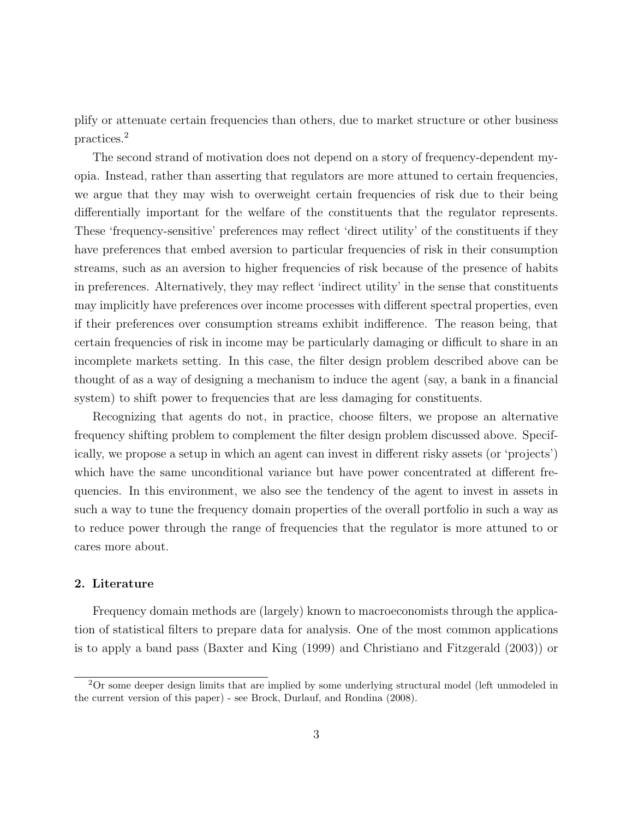plify or attenuate certain frequencies than others, due to market structure or other business practices.[2](#page-1-0)

The second strand of motivation does not depend on a story of frequency-dependent myopia. Instead, rather than asserting that regulators are more attuned to certain frequencies, we argue that they may wish to overweight certain frequencies of risk due to their being differentially important for the welfare of the constituents that the regulator represents. These 'frequency-sensitive' preferences may reflect 'direct utility' of the constituents if they have preferences that embed aversion to particular frequencies of risk in their consumption streams, such as an aversion to higher frequencies of risk because of the presence of habits in preferences. Alternatively, they may reflect 'indirect utility' in the sense that constituents may implicitly have preferences over income processes with different spectral properties, even if their preferences over consumption streams exhibit indifference. The reason being, that certain frequencies of risk in income may be particularly damaging or difficult to share in an incomplete markets setting. In this case, the filter design problem described above can be thought of as a way of designing a mechanism to induce the agent (say, a bank in a financial system) to shift power to frequencies that are less damaging for constituents.

Recognizing that agents do not, in practice, choose filters, we propose an alternative frequency shifting problem to complement the filter design problem discussed above. Specifically, we propose a setup in which an agent can invest in different risky assets (or 'projects') which have the same unconditional variance but have power concentrated at different frequencies. In this environment, we also see the tendency of the agent to invest in assets in such a way to tune the frequency domain properties of the overall portfolio in such a way as to reduce power through the range of frequencies that the regulator is more attuned to or cares more about.

#### 2. Literature

Frequency domain methods are (largely) known to macroeconomists through the application of statistical filters to prepare data for analysis. One of the most common applications is to apply a band pass [\(Baxter and King](#page-24-0) [\(1999\)](#page-24-0) and [Christiano and Fitzgerald](#page-24-1) [\(2003\)](#page-24-1)) or

<sup>2</sup>Or some deeper design limits that are implied by some underlying structural model (left unmodeled in the current version of this paper) - see [Brock, Durlauf, and Rondina](#page-24-2) [\(2008\)](#page-24-2).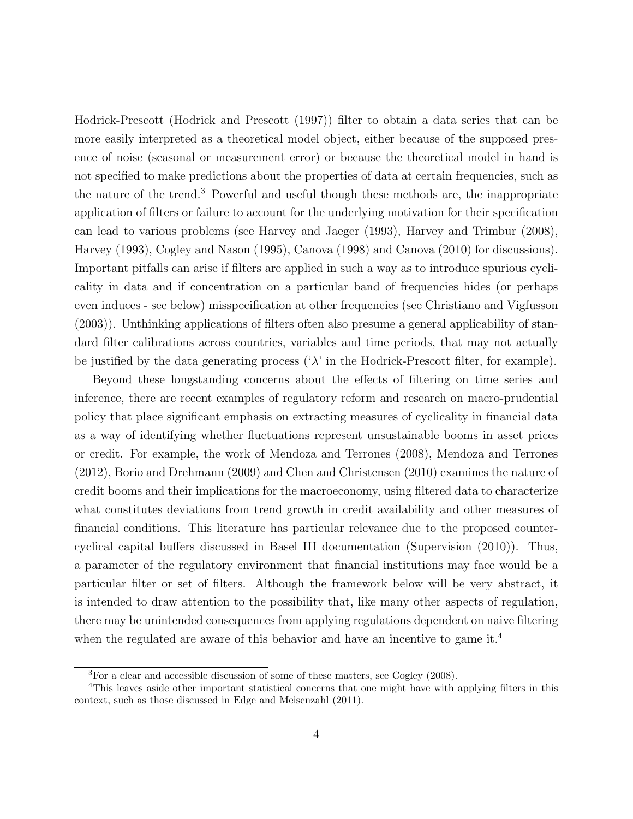Hodrick-Prescott [\(Hodrick and Prescott](#page-25-1) [\(1997\)](#page-25-1)) filter to obtain a data series that can be more easily interpreted as a theoretical model object, either because of the supposed presence of noise (seasonal or measurement error) or because the theoretical model in hand is not specified to make predictions about the properties of data at certain frequencies, such as the nature of the trend.[3](#page-1-0) Powerful and useful though these methods are, the inappropriate application of filters or failure to account for the underlying motivation for their specification can lead to various problems (see [Harvey and Jaeger](#page-25-2) [\(1993\)](#page-25-2), [Harvey and Trimbur](#page-25-3) [\(2008\)](#page-25-3), [Harvey](#page-25-4) [\(1993\)](#page-25-4), [Cogley and Nason](#page-25-5) [\(1995\)](#page-25-5), [Canova](#page-24-3) [\(1998\)](#page-24-3) and [Canova](#page-24-4) [\(2010\)](#page-24-4) for discussions). Important pitfalls can arise if filters are applied in such a way as to introduce spurious cyclicality in data and if concentration on a particular band of frequencies hides (or perhaps even induces - see below) misspecification at other frequencies (see [Christiano and Vigfusson](#page-24-5) [\(2003\)](#page-24-5)). Unthinking applications of filters often also presume a general applicability of standard filter calibrations across countries, variables and time periods, that may not actually be justified by the data generating process  $(\lambda)$  in the Hodrick-Prescott filter, for example).

Beyond these longstanding concerns about the effects of filtering on time series and inference, there are recent examples of regulatory reform and research on macro-prudential policy that place significant emphasis on extracting measures of cyclicality in financial data as a way of identifying whether fluctuations represent unsustainable booms in asset prices or credit. For example, the work of [Mendoza and Terrones](#page-26-0) [\(2008\)](#page-26-0), [Mendoza and Terrones](#page-26-1) [\(2012\)](#page-26-1), [Borio and Drehmann](#page-24-6) [\(2009\)](#page-24-6) and [Chen and Christensen](#page-24-7) [\(2010\)](#page-24-7) examines the nature of credit booms and their implications for the macroeconomy, using filtered data to characterize what constitutes deviations from trend growth in credit availability and other measures of financial conditions. This literature has particular relevance due to the proposed countercyclical capital buffers discussed in Basel III documentation [\(Supervision](#page-26-2) [\(2010\)](#page-26-2)). Thus, a parameter of the regulatory environment that financial institutions may face would be a particular filter or set of filters. Although the framework below will be very abstract, it is intended to draw attention to the possibility that, like many other aspects of regulation, there may be unintended consequences from applying regulations dependent on naive filtering when the regulated are aware of this behavior and have an incentive to game it.<sup>[4](#page-1-0)</sup>

<sup>3</sup>For a clear and accessible discussion of some of these matters, see [Cogley](#page-25-6) [\(2008\)](#page-25-6).

<sup>4</sup>This leaves aside other important statistical concerns that one might have with applying filters in this context, such as those discussed in [Edge and Meisenzahl](#page-25-7) [\(2011\)](#page-25-7).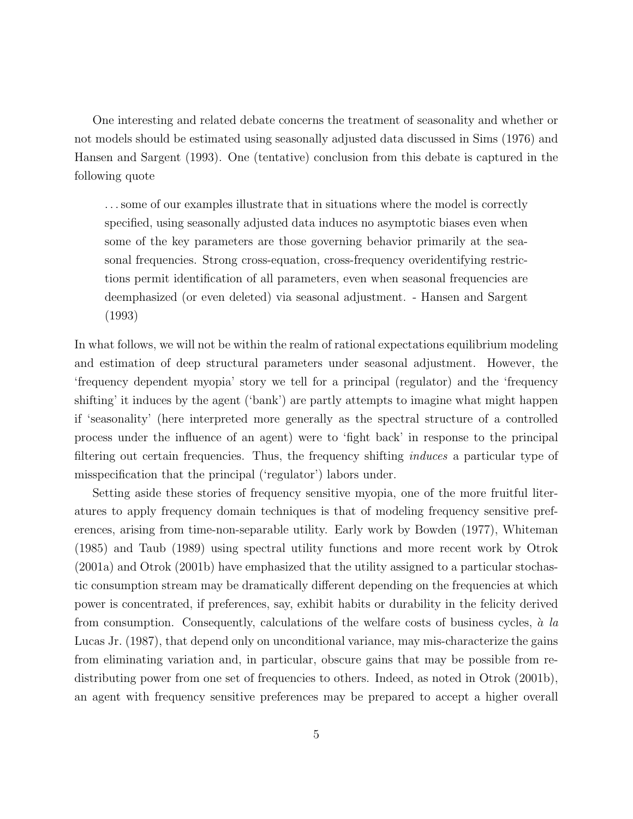One interesting and related debate concerns the treatment of seasonality and whether or not models should be estimated using seasonally adjusted data discussed in [Sims](#page-26-3) [\(1976\)](#page-26-3) and [Hansen and Sargent](#page-25-8) [\(1993\)](#page-25-8). One (tentative) conclusion from this debate is captured in the following quote

. . . some of our examples illustrate that in situations where the model is correctly specified, using seasonally adjusted data induces no asymptotic biases even when some of the key parameters are those governing behavior primarily at the seasonal frequencies. Strong cross-equation, cross-frequency overidentifying restrictions permit identification of all parameters, even when seasonal frequencies are deemphasized (or even deleted) via seasonal adjustment. - [Hansen and Sargent](#page-25-8) [\(1993\)](#page-25-8)

In what follows, we will not be within the realm of rational expectations equilibrium modeling and estimation of deep structural parameters under seasonal adjustment. However, the 'frequency dependent myopia' story we tell for a principal (regulator) and the 'frequency shifting' it induces by the agent ('bank') are partly attempts to imagine what might happen if 'seasonality' (here interpreted more generally as the spectral structure of a controlled process under the influence of an agent) were to 'fight back' in response to the principal filtering out certain frequencies. Thus, the frequency shifting induces a particular type of misspecification that the principal ('regulator') labors under.

Setting aside these stories of frequency sensitive myopia, one of the more fruitful literatures to apply frequency domain techniques is that of modeling frequency sensitive preferences, arising from time-non-separable utility. Early work by [Bowden](#page-24-8) [\(1977\)](#page-24-8), [Whiteman](#page-26-4) [\(1985\)](#page-26-4) and [Taub](#page-26-5) [\(1989\)](#page-26-5) using spectral utility functions and more recent work by [Otrok](#page-26-6) [\(2001a\)](#page-26-6) and [Otrok](#page-26-7) [\(2001b\)](#page-26-7) have emphasized that the utility assigned to a particular stochastic consumption stream may be dramatically different depending on the frequencies at which power is concentrated, if preferences, say, exhibit habits or durability in the felicity derived from consumption. Consequently, calculations of the welfare costs of business cycles,  $\dot{a}$  la [Lucas Jr.](#page-25-9) [\(1987\)](#page-25-9), that depend only on unconditional variance, may mis-characterize the gains from eliminating variation and, in particular, obscure gains that may be possible from re-distributing power from one set of frequencies to others. Indeed, as noted in [Otrok](#page-26-7) [\(2001b\)](#page-26-7), an agent with frequency sensitive preferences may be prepared to accept a higher overall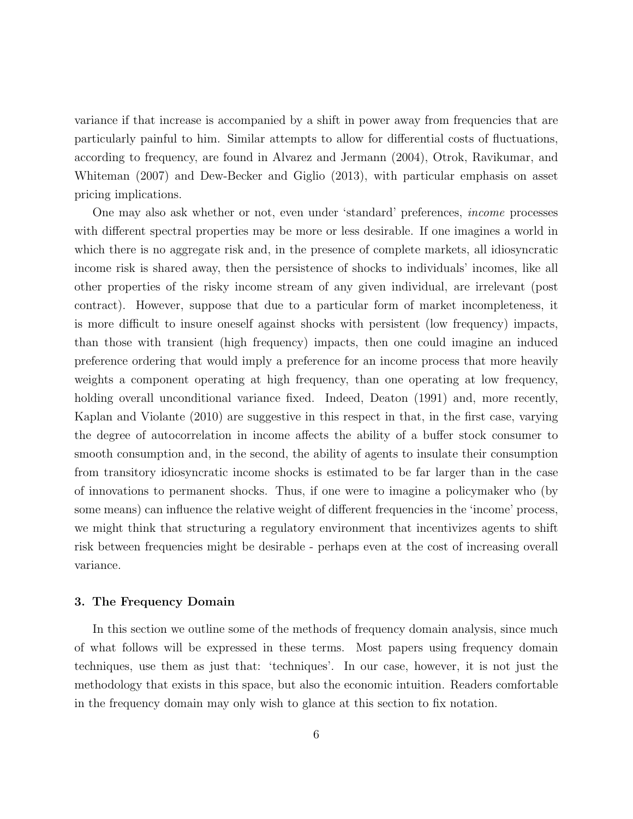variance if that increase is accompanied by a shift in power away from frequencies that are particularly painful to him. Similar attempts to allow for differential costs of fluctuations, according to frequency, are found in [Alvarez and Jermann](#page-24-9) [\(2004\)](#page-24-9), [Otrok, Ravikumar, and](#page-26-8) [Whiteman](#page-26-8) [\(2007\)](#page-26-8) and [Dew-Becker and Giglio](#page-25-10) [\(2013\)](#page-25-10), with particular emphasis on asset pricing implications.

One may also ask whether or not, even under 'standard' preferences, income processes with different spectral properties may be more or less desirable. If one imagines a world in which there is no aggregate risk and, in the presence of complete markets, all idiosyncratic income risk is shared away, then the persistence of shocks to individuals' incomes, like all other properties of the risky income stream of any given individual, are irrelevant (post contract). However, suppose that due to a particular form of market incompleteness, it is more difficult to insure oneself against shocks with persistent (low frequency) impacts, than those with transient (high frequency) impacts, then one could imagine an induced preference ordering that would imply a preference for an income process that more heavily weights a component operating at high frequency, than one operating at low frequency, holding overall unconditional variance fixed. Indeed, [Deaton](#page-25-11) [\(1991\)](#page-25-11) and, more recently, [Kaplan and Violante](#page-25-12) [\(2010\)](#page-25-12) are suggestive in this respect in that, in the first case, varying the degree of autocorrelation in income affects the ability of a buffer stock consumer to smooth consumption and, in the second, the ability of agents to insulate their consumption from transitory idiosyncratic income shocks is estimated to be far larger than in the case of innovations to permanent shocks. Thus, if one were to imagine a policymaker who (by some means) can influence the relative weight of different frequencies in the 'income' process, we might think that structuring a regulatory environment that incentivizes agents to shift risk between frequencies might be desirable - perhaps even at the cost of increasing overall variance.

#### 3. The Frequency Domain

In this section we outline some of the methods of frequency domain analysis, since much of what follows will be expressed in these terms. Most papers using frequency domain techniques, use them as just that: 'techniques'. In our case, however, it is not just the methodology that exists in this space, but also the economic intuition. Readers comfortable in the frequency domain may only wish to glance at this section to fix notation.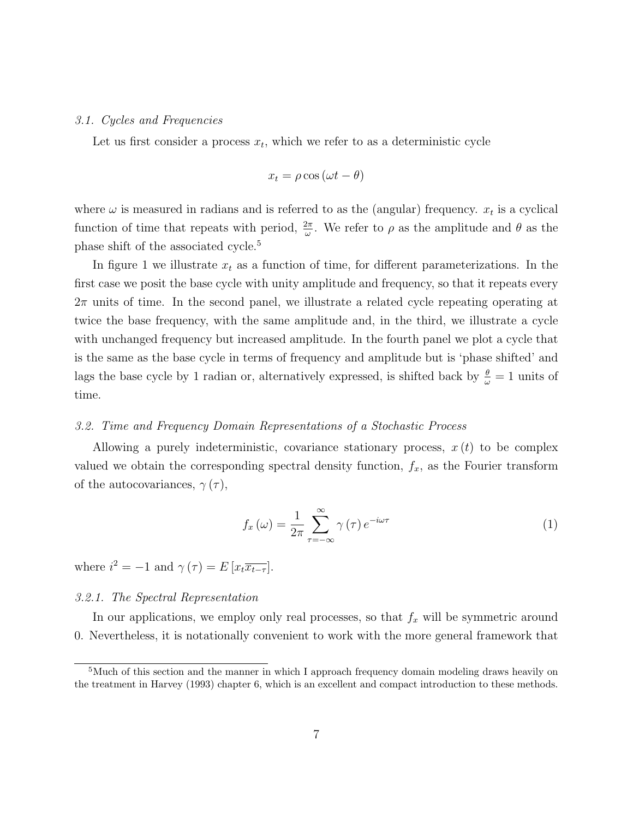#### 3.1. Cycles and Frequencies

Let us first consider a process  $x_t$ , which we refer to as a deterministic cycle

$$
x_t = \rho \cos(\omega t - \theta)
$$

where  $\omega$  is measured in radians and is referred to as the (angular) frequency.  $x_t$  is a cyclical function of time that repeats with period,  $\frac{2\pi}{\omega}$ . We refer to  $\rho$  as the amplitude and  $\theta$  as the phase shift of the associated cycle.[5](#page-1-0)

In figure [1](#page-27-0) we illustrate  $x_t$  as a function of time, for different parameterizations. In the first case we posit the base cycle with unity amplitude and frequency, so that it repeats every  $2\pi$  units of time. In the second panel, we illustrate a related cycle repeating operating at twice the base frequency, with the same amplitude and, in the third, we illustrate a cycle with unchanged frequency but increased amplitude. In the fourth panel we plot a cycle that is the same as the base cycle in terms of frequency and amplitude but is 'phase shifted' and lags the base cycle by 1 radian or, alternatively expressed, is shifted back by  $\frac{\theta}{\omega} = 1$  units of time.

#### 3.2. Time and Frequency Domain Representations of a Stochastic Process

Allowing a purely indeterministic, covariance stationary process,  $x(t)$  to be complex valued we obtain the corresponding spectral density function,  $f_x$ , as the Fourier transform of the autocovariances,  $\gamma(\tau)$ ,

$$
f_x(\omega) = \frac{1}{2\pi} \sum_{\tau = -\infty}^{\infty} \gamma(\tau) e^{-i\omega\tau}
$$
 (1)

where  $i^2 = -1$  and  $\gamma(\tau) = E[x_t\overline{x_{t-\tau}}].$ 

#### 3.2.1. The Spectral Representation

In our applications, we employ only real processes, so that  $f_x$  will be symmetric around 0. Nevertheless, it is notationally convenient to work with the more general framework that

<sup>&</sup>lt;sup>5</sup>Much of this section and the manner in which I approach frequency domain modeling draws heavily on the treatment in [Harvey](#page-25-4) [\(1993\)](#page-25-4) chapter 6, which is an excellent and compact introduction to these methods.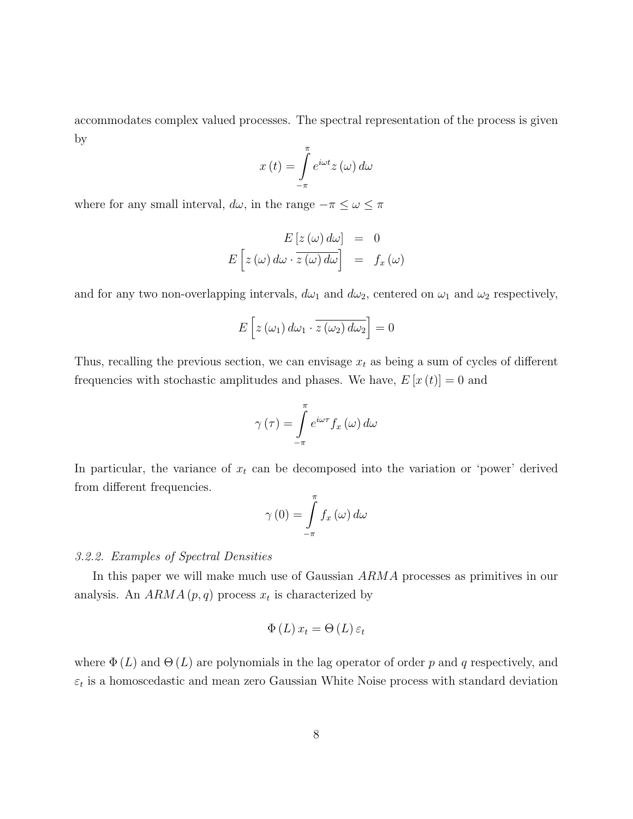accommodates complex valued processes. The spectral representation of the process is given by

$$
x(t) = \int_{-\pi}^{\pi} e^{i\omega t} z(\omega) d\omega
$$

where for any small interval,  $d\omega$ , in the range  $-\pi \leq \omega \leq \pi$ 

$$
E [z (\omega) d\omega] = 0
$$
  

$$
E [z (\omega) d\omega \cdot \overline{z (\omega) d\omega}] = f_x (\omega)
$$

and for any two non-overlapping intervals,  $d\omega_1$  and  $d\omega_2$ , centered on  $\omega_1$  and  $\omega_2$  respectively,

$$
E\left[z\left(\omega_{1}\right)d\omega_{1}\cdot\overline{z\left(\omega_{2}\right)d\omega_{2}}\right]=0
$$

Thus, recalling the previous section, we can envisage  $x_t$  as being a sum of cycles of different frequencies with stochastic amplitudes and phases. We have,  $E[x(t)] = 0$  and

$$
\gamma(\tau) = \int_{-\pi}^{\pi} e^{i\omega \tau} f_x(\omega) d\omega
$$

In particular, the variance of  $x_t$  can be decomposed into the variation or 'power' derived from different frequencies.

$$
\gamma(0) = \int_{-\pi}^{\pi} f_x(\omega) d\omega
$$

#### 3.2.2. Examples of Spectral Densities

In this paper we will make much use of Gaussian ARMA processes as primitives in our analysis. An  $ARMA(p, q)$  process  $x_t$  is characterized by

$$
\Phi(L) x_t = \Theta(L) \varepsilon_t
$$

where  $\Phi(L)$  and  $\Theta(L)$  are polynomials in the lag operator of order p and q respectively, and  $\varepsilon_t$  is a homoscedastic and mean zero Gaussian White Noise process with standard deviation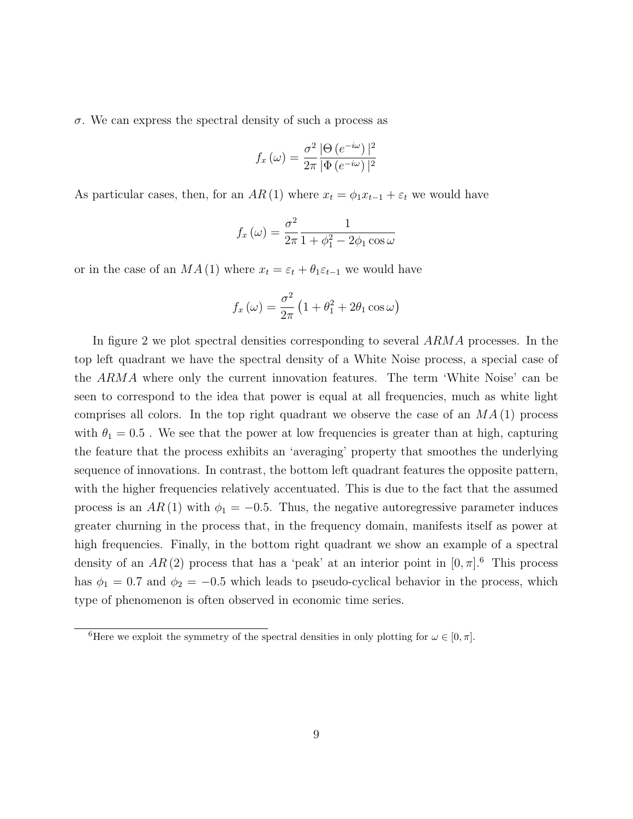$\sigma$ . We can express the spectral density of such a process as

$$
f_x(\omega) = \frac{\sigma^2}{2\pi} \frac{|\Theta(e^{-i\omega})|^2}{|\Phi(e^{-i\omega})|^2}
$$

As particular cases, then, for an  $AR(1)$  where  $x_t = \phi_1 x_{t-1} + \varepsilon_t$  we would have

$$
f_x(\omega) = \frac{\sigma^2}{2\pi} \frac{1}{1 + \phi_1^2 - 2\phi_1 \cos \omega}
$$

or in the case of an  $MA(1)$  where  $x_t = \varepsilon_t + \theta_1 \varepsilon_{t-1}$  we would have

$$
f_x(\omega) = \frac{\sigma^2}{2\pi} \left( 1 + \theta_1^2 + 2\theta_1 \cos \omega \right)
$$

In figure [2](#page-28-0) we plot spectral densities corresponding to several ARMA processes. In the top left quadrant we have the spectral density of a White Noise process, a special case of the ARMA where only the current innovation features. The term 'White Noise' can be seen to correspond to the idea that power is equal at all frequencies, much as white light comprises all colors. In the top right quadrant we observe the case of an  $MA(1)$  process with  $\theta_1 = 0.5$ . We see that the power at low frequencies is greater than at high, capturing the feature that the process exhibits an 'averaging' property that smoothes the underlying sequence of innovations. In contrast, the bottom left quadrant features the opposite pattern, with the higher frequencies relatively accentuated. This is due to the fact that the assumed process is an  $AR(1)$  with  $\phi_1 = -0.5$ . Thus, the negative autoregressive parameter induces greater churning in the process that, in the frequency domain, manifests itself as power at high frequencies. Finally, in the bottom right quadrant we show an example of a spectral density of an AR(2) process that has a 'peak' at an interior point in  $[0, \pi]$ .<sup>[6](#page-1-0)</sup> This process has  $\phi_1 = 0.7$  and  $\phi_2 = -0.5$  which leads to pseudo-cyclical behavior in the process, which type of phenomenon is often observed in economic time series.

<sup>&</sup>lt;sup>6</sup>Here we exploit the symmetry of the spectral densities in only plotting for  $\omega \in [0, \pi]$ .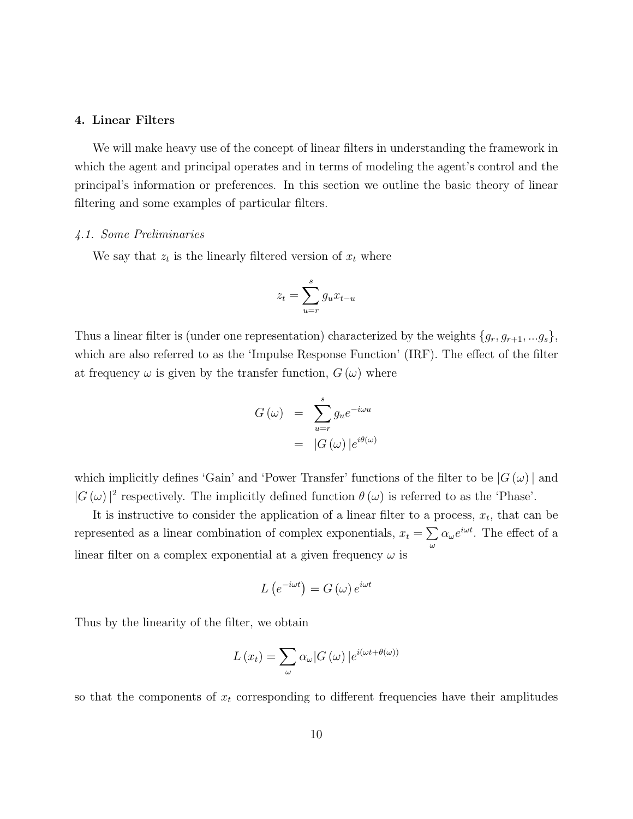#### 4. Linear Filters

We will make heavy use of the concept of linear filters in understanding the framework in which the agent and principal operates and in terms of modeling the agent's control and the principal's information or preferences. In this section we outline the basic theory of linear filtering and some examples of particular filters.

#### 4.1. Some Preliminaries

We say that  $z_t$  is the linearly filtered version of  $x_t$  where

$$
z_t = \sum_{u=r}^{s} g_u x_{t-u}
$$

Thus a linear filter is (under one representation) characterized by the weights  $\{g_r, g_{r+1}, ... g_s\}$ , which are also referred to as the 'Impulse Response Function' (IRF). The effect of the filter at frequency  $\omega$  is given by the transfer function,  $G(\omega)$  where

$$
G(\omega) = \sum_{u=r}^{s} g_u e^{-i\omega u}
$$

$$
= |G(\omega)| e^{i\theta(\omega)}
$$

which implicitly defines 'Gain' and 'Power Transfer' functions of the filter to be  $|G(\omega)|$  and  $|G(\omega)|^2$  respectively. The implicitly defined function  $\theta(\omega)$  is referred to as the 'Phase'.

It is instructive to consider the application of a linear filter to a process,  $x_t$ , that can be represented as a linear combination of complex exponentials,  $x_t = \sum$ ω  $\alpha_{\omega}e^{i\omega t}$ . The effect of a linear filter on a complex exponential at a given frequency  $\omega$  is

$$
L\left(e^{-i\omega t}\right) = G\left(\omega\right)e^{i\omega t}
$$

Thus by the linearity of the filter, we obtain

$$
L(x_t) = \sum_{\omega} \alpha_{\omega} |G(\omega)| e^{i(\omega t + \theta(\omega))}
$$

so that the components of  $x_t$  corresponding to different frequencies have their amplitudes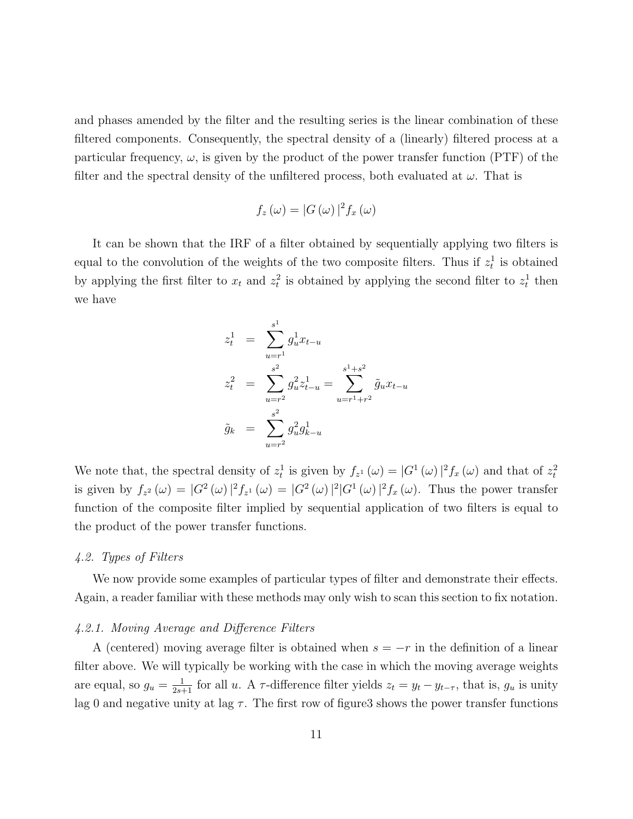and phases amended by the filter and the resulting series is the linear combination of these filtered components. Consequently, the spectral density of a (linearly) filtered process at a particular frequency,  $\omega$ , is given by the product of the power transfer function (PTF) of the filter and the spectral density of the unfiltered process, both evaluated at  $\omega$ . That is

$$
f_z(\omega) = |G(\omega)|^2 f_x(\omega)
$$

It can be shown that the IRF of a filter obtained by sequentially applying two filters is equal to the convolution of the weights of the two composite filters. Thus if  $z_t^1$  is obtained by applying the first filter to  $x_t$  and  $z_t^2$  is obtained by applying the second filter to  $z_t^1$  then we have

$$
z_t^1 = \sum_{u=r^1}^{s^1} g_u^1 x_{t-u}
$$
  
\n
$$
z_t^2 = \sum_{u=r^2}^{s^2} g_u^2 z_{t-u}^1 = \sum_{u=r^1+r^2}^{s^1+s^2} \tilde{g}_u x_{t-u}
$$
  
\n
$$
\tilde{g}_k = \sum_{u=r^2}^{s^2} g_u^2 g_{k-u}^1
$$

We note that, the spectral density of  $z_t^1$  is given by  $f_{z^1}(\omega) = |G^1(\omega)|^2 f_x(\omega)$  and that of  $z_t^2$ is given by  $f_{z^2}(\omega) = |G^2(\omega)|^2 f_{z^1}(\omega) = |G^2(\omega)|^2 |G^1(\omega)|^2 f_x(\omega)$ . Thus the power transfer function of the composite filter implied by sequential application of two filters is equal to the product of the power transfer functions.

#### 4.2. Types of Filters

We now provide some examples of particular types of filter and demonstrate their effects. Again, a reader familiar with these methods may only wish to scan this section to fix notation.

#### 4.2.1. Moving Average and Difference Filters

A (centered) moving average filter is obtained when  $s = -r$  in the definition of a linear filter above. We will typically be working with the case in which the moving average weights are equal, so  $g_u = \frac{1}{2s+1}$  for all u. A  $\tau$ -difference filter yields  $z_t = y_t - y_{t-\tau}$ , that is,  $g_u$  is unity lag 0 and negative unity at lag  $\tau$ . The first row of figur[e3](#page-28-1) shows the power transfer functions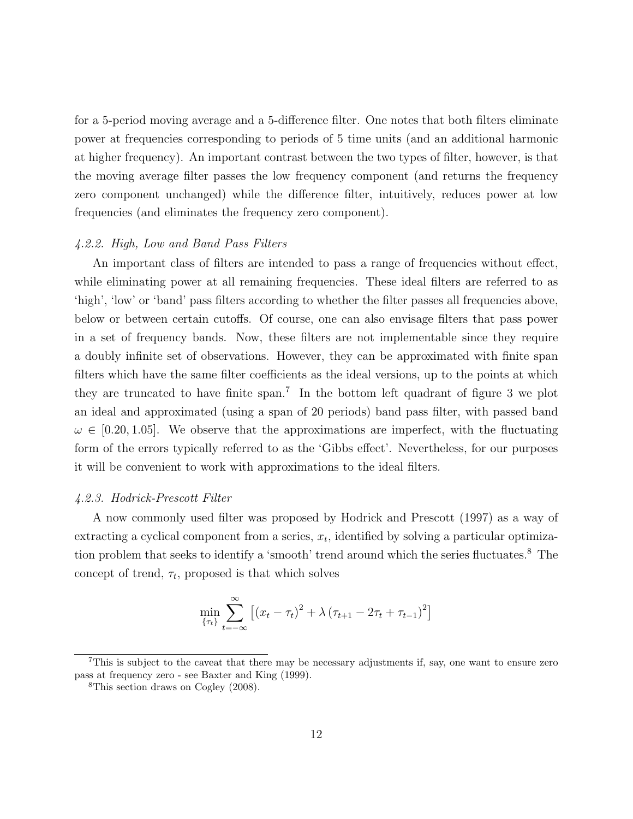for a 5-period moving average and a 5-difference filter. One notes that both filters eliminate power at frequencies corresponding to periods of 5 time units (and an additional harmonic at higher frequency). An important contrast between the two types of filter, however, is that the moving average filter passes the low frequency component (and returns the frequency zero component unchanged) while the difference filter, intuitively, reduces power at low frequencies (and eliminates the frequency zero component).

#### 4.2.2. High, Low and Band Pass Filters

An important class of filters are intended to pass a range of frequencies without effect, while eliminating power at all remaining frequencies. These ideal filters are referred to as 'high', 'low' or 'band' pass filters according to whether the filter passes all frequencies above, below or between certain cutoffs. Of course, one can also envisage filters that pass power in a set of frequency bands. Now, these filters are not implementable since they require a doubly infinite set of observations. However, they can be approximated with finite span filters which have the same filter coefficients as the ideal versions, up to the points at which they are truncated to have finite span.<sup>[7](#page-1-0)</sup> In the bottom left quadrant of figure [3](#page-28-1) we plot an ideal and approximated (using a span of 20 periods) band pass filter, with passed band  $\omega \in [0.20, 1.05]$ . We observe that the approximations are imperfect, with the fluctuating form of the errors typically referred to as the 'Gibbs effect'. Nevertheless, for our purposes it will be convenient to work with approximations to the ideal filters.

#### 4.2.3. Hodrick-Prescott Filter

A now commonly used filter was proposed by [Hodrick and Prescott](#page-25-1) [\(1997\)](#page-25-1) as a way of extracting a cyclical component from a series,  $x_t$ , identified by solving a particular optimiza-tion problem that seeks to identify a 'smooth' trend around which the series fluctuates.<sup>[8](#page-1-0)</sup> The concept of trend,  $\tau_t$ , proposed is that which solves

$$
\min_{\{\tau_t\}} \sum_{t=-\infty}^{\infty} \left[ (x_t - \tau_t)^2 + \lambda (\tau_{t+1} - 2\tau_t + \tau_{t-1})^2 \right]
$$

<sup>7</sup>This is subject to the caveat that there may be necessary adjustments if, say, one want to ensure zero pass at frequency zero - see [Baxter and King](#page-24-0) [\(1999\)](#page-24-0).

<sup>8</sup>This section draws on [Cogley](#page-25-6) [\(2008\)](#page-25-6).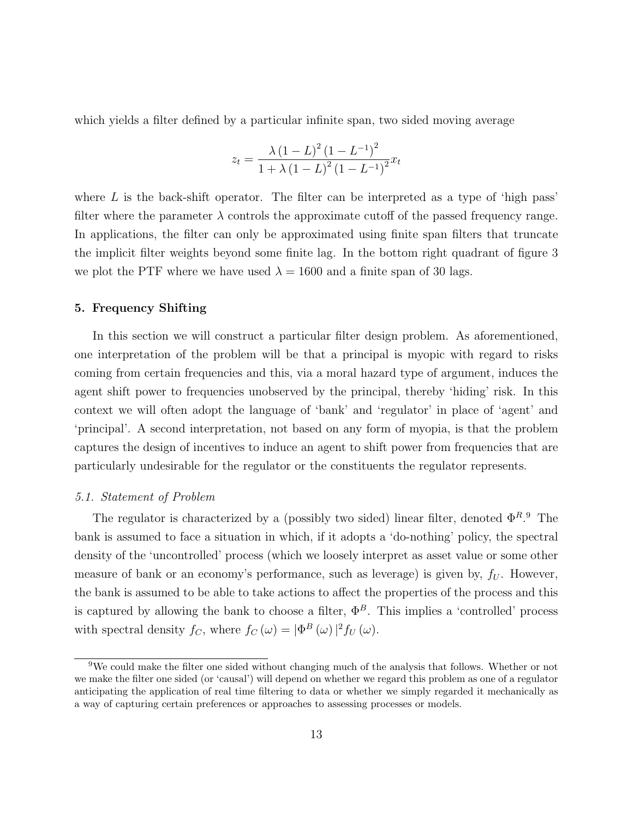which yields a filter defined by a particular infinite span, two sided moving average

$$
z_{t} = \frac{\lambda (1 - L)^{2} (1 - L^{-1})^{2}}{1 + \lambda (1 - L)^{2} (1 - L^{-1})^{2}} x_{t}
$$

where  $L$  is the back-shift operator. The filter can be interpreted as a type of 'high pass' filter where the parameter  $\lambda$  controls the approximate cutoff of the passed frequency range. In applications, the filter can only be approximated using finite span filters that truncate the implicit filter weights beyond some finite lag. In the bottom right quadrant of figure [3](#page-28-1) we plot the PTF where we have used  $\lambda = 1600$  and a finite span of 30 lags.

#### 5. Frequency Shifting

In this section we will construct a particular filter design problem. As aforementioned, one interpretation of the problem will be that a principal is myopic with regard to risks coming from certain frequencies and this, via a moral hazard type of argument, induces the agent shift power to frequencies unobserved by the principal, thereby 'hiding' risk. In this context we will often adopt the language of 'bank' and 'regulator' in place of 'agent' and 'principal'. A second interpretation, not based on any form of myopia, is that the problem captures the design of incentives to induce an agent to shift power from frequencies that are particularly undesirable for the regulator or the constituents the regulator represents.

#### 5.1. Statement of Problem

The regulator is characterized by a (possibly two sided) linear filter, denoted  $\Phi^{R,9}$  $\Phi^{R,9}$  $\Phi^{R,9}$  The bank is assumed to face a situation in which, if it adopts a 'do-nothing' policy, the spectral density of the 'uncontrolled' process (which we loosely interpret as asset value or some other measure of bank or an economy's performance, such as leverage) is given by,  $f_U$ . However, the bank is assumed to be able to take actions to affect the properties of the process and this is captured by allowing the bank to choose a filter,  $\Phi^B$ . This implies a 'controlled' process with spectral density  $f_C$ , where  $f_C(\omega) = |\Phi^B(\omega)|^2 f_U(\omega)$ .

<sup>9</sup>We could make the filter one sided without changing much of the analysis that follows. Whether or not we make the filter one sided (or 'causal') will depend on whether we regard this problem as one of a regulator anticipating the application of real time filtering to data or whether we simply regarded it mechanically as a way of capturing certain preferences or approaches to assessing processes or models.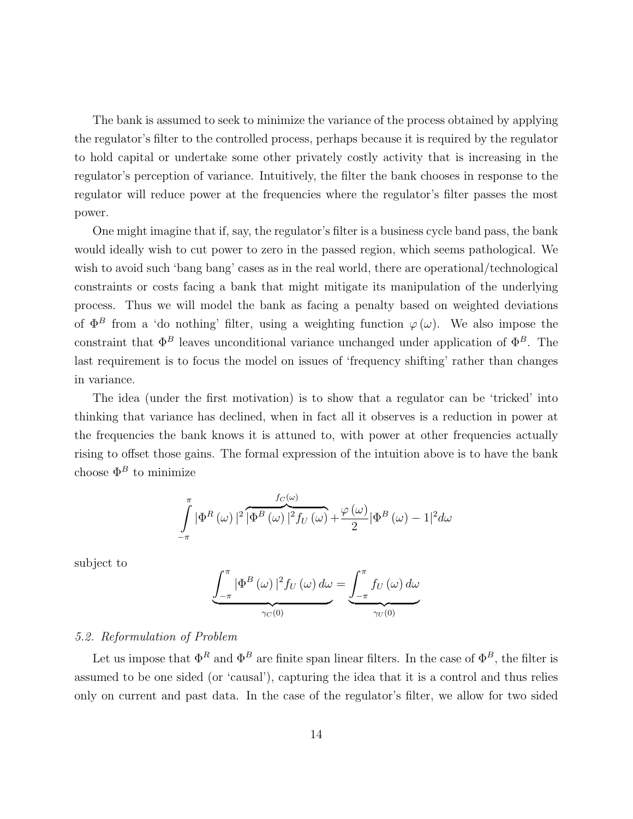The bank is assumed to seek to minimize the variance of the process obtained by applying the regulator's filter to the controlled process, perhaps because it is required by the regulator to hold capital or undertake some other privately costly activity that is increasing in the regulator's perception of variance. Intuitively, the filter the bank chooses in response to the regulator will reduce power at the frequencies where the regulator's filter passes the most power.

One might imagine that if, say, the regulator's filter is a business cycle band pass, the bank would ideally wish to cut power to zero in the passed region, which seems pathological. We wish to avoid such 'bang bang' cases as in the real world, there are operational/technological constraints or costs facing a bank that might mitigate its manipulation of the underlying process. Thus we will model the bank as facing a penalty based on weighted deviations of  $\Phi^B$  from a 'do nothing' filter, using a weighting function  $\varphi(\omega)$ . We also impose the constraint that  $\Phi^B$  leaves unconditional variance unchanged under application of  $\Phi^B$ . The last requirement is to focus the model on issues of 'frequency shifting' rather than changes in variance.

The idea (under the first motivation) is to show that a regulator can be 'tricked' into thinking that variance has declined, when in fact all it observes is a reduction in power at the frequencies the bank knows it is attuned to, with power at other frequencies actually rising to offset those gains. The formal expression of the intuition above is to have the bank choose  $\Phi^B$  to minimize

$$
\int_{-\pi}^{\pi} |\Phi^R(\omega)|^2 \overbrace{|\Phi^B(\omega)}^{f_C(\omega)}|^2 f_U(\omega) + \frac{\varphi(\omega)}{2} |\Phi^B(\omega) - 1|^2 d\omega
$$

subject to

$$
\underbrace{\int_{-\pi}^{\pi} |\Phi^{B}(\omega)|^{2} f_{U}(\omega) d\omega}_{\gamma_{C}(0)} = \underbrace{\int_{-\pi}^{\pi} f_{U}(\omega) d\omega}_{\gamma_{U}(0)}
$$

### 5.2. Reformulation of Problem

Let us impose that  $\Phi^R$  and  $\Phi^B$  are finite span linear filters. In the case of  $\Phi^B$ , the filter is assumed to be one sided (or 'causal'), capturing the idea that it is a control and thus relies only on current and past data. In the case of the regulator's filter, we allow for two sided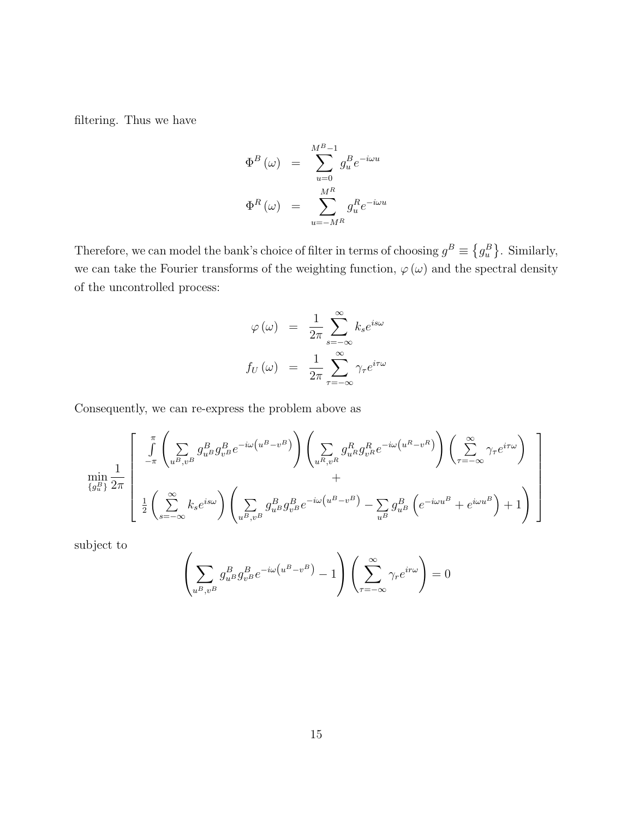filtering. Thus we have

$$
\Phi^{B}(\omega) = \sum_{u=0}^{M^{B}-1} g_{u}^{B} e^{-i\omega u}
$$

$$
\Phi^{R}(\omega) = \sum_{u=-M^{B}}^{M^{B}} g_{u}^{R} e^{-i\omega u}
$$

Therefore, we can model the bank's choice of filter in terms of choosing  $g^B \equiv \{g_u^B\}$ . Similarly, we can take the Fourier transforms of the weighting function,  $\varphi(\omega)$  and the spectral density of the uncontrolled process:

$$
\varphi(\omega) = \frac{1}{2\pi} \sum_{s=-\infty}^{\infty} k_s e^{is\omega}
$$

$$
f_U(\omega) = \frac{1}{2\pi} \sum_{\tau=-\infty}^{\infty} \gamma_\tau e^{i\tau \omega}
$$

Consequently, we can re-express the problem above as

$$
\min_{\{g_u^B\}} \frac{1}{2\pi} \left[ \int_{-\pi}^{\pi} \left( \sum_{u^B, v^B} g_{u^B}^B g_{v^B}^B e^{-i\omega(u^B - v^B)} \right) \left( \sum_{u^R, v^R} g_{u^R}^R g_{v^R}^R e^{-i\omega(u^R - v^R)} \right) \left( \sum_{\tau = -\infty}^{\infty} \gamma_\tau e^{i\tau\omega} \right) + \frac{1}{2} \left( \sum_{s = -\infty}^{\infty} k_s e^{i s \omega} \right) \left( \sum_{u^B, v^B} g_{u^B}^B g_{v^B}^B e^{-i\omega(u^B - v^B)} - \sum_{u^B} g_{u^B}^B \left( e^{-i\omega u^B} + e^{i\omega u^B} \right) + 1 \right) \right]
$$

subject to

$$
\left(\sum_{u^B,v^B} g_{u^B}^B g_{v^B}^B e^{-i\omega(u^B - v^B)} - 1\right)\left(\sum_{\tau = -\infty}^{\infty} \gamma_r e^{ir\omega}\right) = 0
$$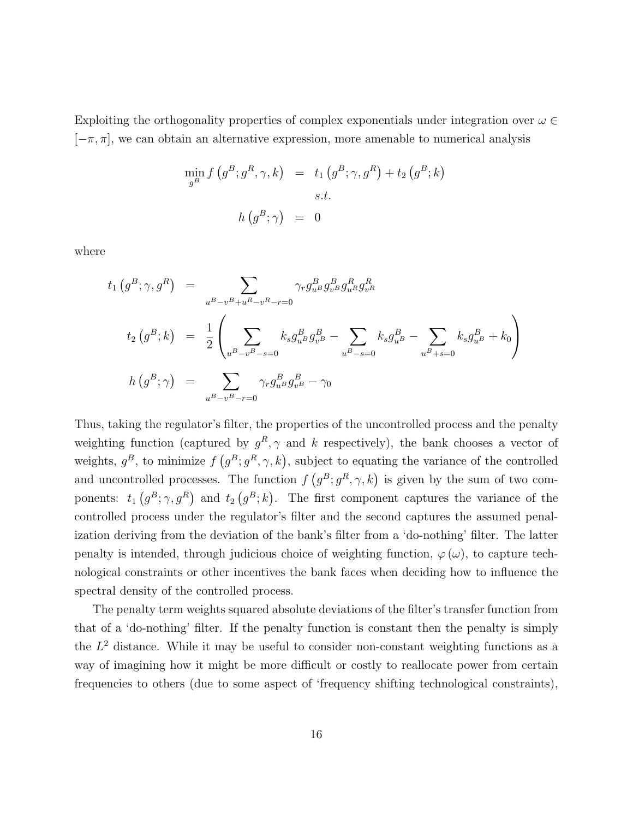Exploiting the orthogonality properties of complex exponentials under integration over  $\omega \in$  $[-\pi, \pi]$ , we can obtain an alternative expression, more amenable to numerical analysis

$$
\min_{g^B} f(g^B; g^R, \gamma, k) = t_1(g^B; \gamma, g^R) + t_2(g^B; k)
$$
  
s.t.  

$$
h(g^B; \gamma) = 0
$$

where

$$
t_{1} (g^{B}; \gamma, g^{R}) = \sum_{u^{B}-v^{B}+u^{R}-v^{R}-r=0} \gamma_{r} g_{u^{B}}^{B} g_{v^{B}}^{R} g_{u^{R}}^{R} g_{v^{R}}^{R}
$$
  
\n
$$
t_{2} (g^{B}; k) = \frac{1}{2} \left( \sum_{u^{B}-v^{B}-s=0} k_{s} g_{u^{B}}^{B} g_{v^{B}}^{B} - \sum_{u^{B}-s=0} k_{s} g_{u^{B}}^{B} - \sum_{u^{B}+s=0} k_{s} g_{u^{B}}^{B} + k_{0} \right)
$$
  
\n
$$
h (g^{B}; \gamma) = \sum_{u^{B}-v^{B}-r=0} \gamma_{r} g_{u^{B}}^{B} g_{v^{B}}^{B} - \gamma_{0}
$$

Thus, taking the regulator's filter, the properties of the uncontrolled process and the penalty weighting function (captured by  $g^R$ ,  $\gamma$  and k respectively), the bank chooses a vector of weights,  $g^B$ , to minimize  $f(g^B; g^R, \gamma, k)$ , subject to equating the variance of the controlled and uncontrolled processes. The function  $f(g^B; g^R, \gamma, k)$  is given by the sum of two components:  $t_1(g^B; \gamma, g^R)$  and  $t_2(g^B; k)$ . The first component captures the variance of the controlled process under the regulator's filter and the second captures the assumed penalization deriving from the deviation of the bank's filter from a 'do-nothing' filter. The latter penalty is intended, through judicious choice of weighting function,  $\varphi(\omega)$ , to capture technological constraints or other incentives the bank faces when deciding how to influence the spectral density of the controlled process.

The penalty term weights squared absolute deviations of the filter's transfer function from that of a 'do-nothing' filter. If the penalty function is constant then the penalty is simply the  $L^2$  distance. While it may be useful to consider non-constant weighting functions as a way of imagining how it might be more difficult or costly to reallocate power from certain frequencies to others (due to some aspect of 'frequency shifting technological constraints),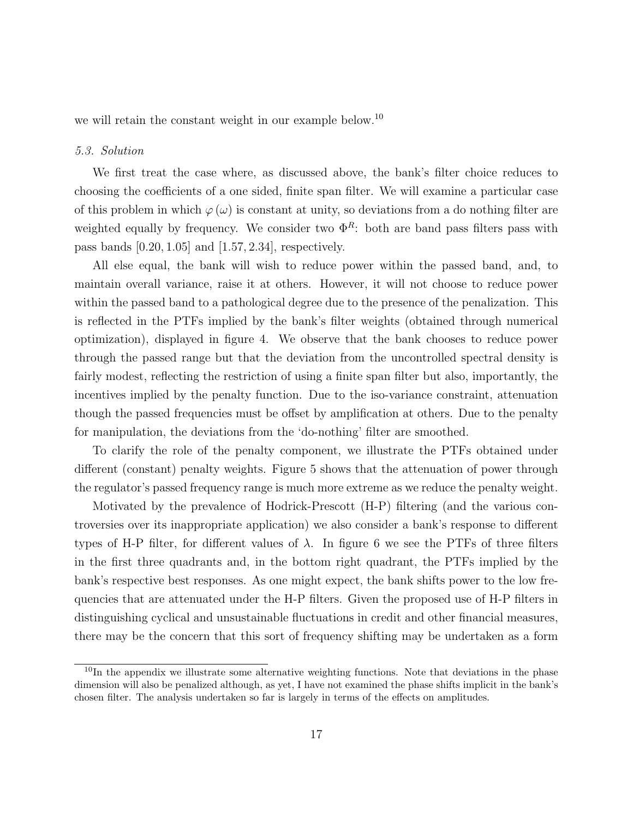we will retain the constant weight in our example below.<sup>[10](#page-1-0)</sup>

#### 5.3. Solution

We first treat the case where, as discussed above, the bank's filter choice reduces to choosing the coefficients of a one sided, finite span filter. We will examine a particular case of this problem in which  $\varphi(\omega)$  is constant at unity, so deviations from a do nothing filter are weighted equally by frequency. We consider two  $\Phi^R$ : both are band pass filters pass with pass bands [0.20, 1.05] and [1.57, 2.34], respectively.

All else equal, the bank will wish to reduce power within the passed band, and, to maintain overall variance, raise it at others. However, it will not choose to reduce power within the passed band to a pathological degree due to the presence of the penalization. This is reflected in the PTFs implied by the bank's filter weights (obtained through numerical optimization), displayed in figure [4.](#page-29-0) We observe that the bank chooses to reduce power through the passed range but that the deviation from the uncontrolled spectral density is fairly modest, reflecting the restriction of using a finite span filter but also, importantly, the incentives implied by the penalty function. Due to the iso-variance constraint, attenuation though the passed frequencies must be offset by amplification at others. Due to the penalty for manipulation, the deviations from the 'do-nothing' filter are smoothed.

To clarify the role of the penalty component, we illustrate the PTFs obtained under different (constant) penalty weights. Figure [5](#page-29-1) shows that the attenuation of power through the regulator's passed frequency range is much more extreme as we reduce the penalty weight.

Motivated by the prevalence of Hodrick-Prescott (H-P) filtering (and the various controversies over its inappropriate application) we also consider a bank's response to different types of H-P filter, for different values of  $\lambda$ . In figure [6](#page-30-0) we see the PTFs of three filters in the first three quadrants and, in the bottom right quadrant, the PTFs implied by the bank's respective best responses. As one might expect, the bank shifts power to the low frequencies that are attenuated under the H-P filters. Given the proposed use of H-P filters in distinguishing cyclical and unsustainable fluctuations in credit and other financial measures, there may be the concern that this sort of frequency shifting may be undertaken as a form

 $10$ In the appendix we illustrate some alternative weighting functions. Note that deviations in the phase dimension will also be penalized although, as yet, I have not examined the phase shifts implicit in the bank's chosen filter. The analysis undertaken so far is largely in terms of the effects on amplitudes.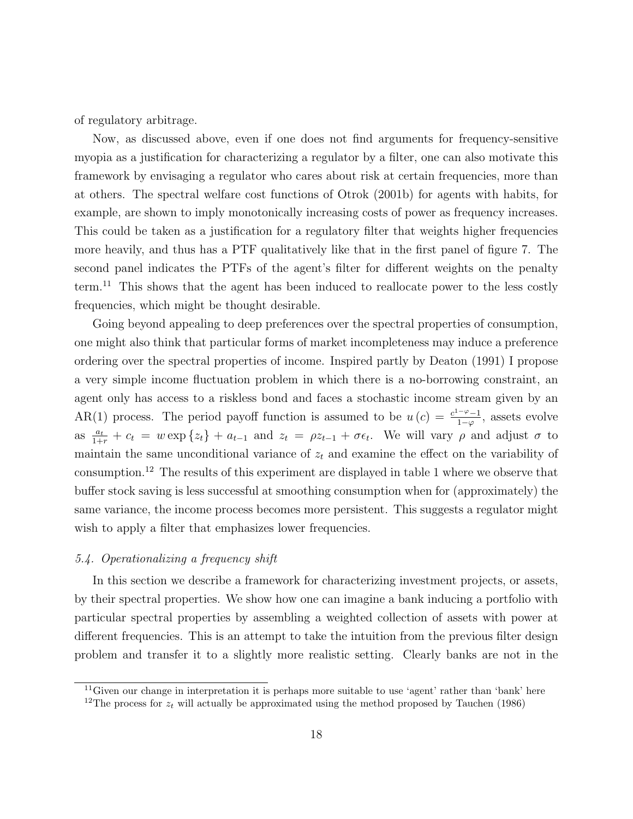of regulatory arbitrage.

Now, as discussed above, even if one does not find arguments for frequency-sensitive myopia as a justification for characterizing a regulator by a filter, one can also motivate this framework by envisaging a regulator who cares about risk at certain frequencies, more than at others. The spectral welfare cost functions of [Otrok](#page-26-7) [\(2001b\)](#page-26-7) for agents with habits, for example, are shown to imply monotonically increasing costs of power as frequency increases. This could be taken as a justification for a regulatory filter that weights higher frequencies more heavily, and thus has a PTF qualitatively like that in the first panel of figure [7.](#page-30-1) The second panel indicates the PTFs of the agent's filter for different weights on the penalty term.<sup>[11](#page-1-0)</sup> This shows that the agent has been induced to reallocate power to the less costly frequencies, which might be thought desirable.

Going beyond appealing to deep preferences over the spectral properties of consumption, one might also think that particular forms of market incompleteness may induce a preference ordering over the spectral properties of income. Inspired partly by [Deaton](#page-25-11) [\(1991\)](#page-25-11) I propose a very simple income fluctuation problem in which there is a no-borrowing constraint, an agent only has access to a riskless bond and faces a stochastic income stream given by an AR(1) process. The period payoff function is assumed to be  $u(c) = \frac{c^{1-\varphi}-1}{1-c}$  $\frac{1-\varphi-1}{1-\varphi}$ , assets evolve as  $\frac{a_t}{1+r} + c_t = w \exp\{z_t\} + a_{t-1}$  and  $z_t = \rho z_{t-1} + \sigma \epsilon_t$ . We will vary  $\rho$  and adjust  $\sigma$  to maintain the same unconditional variance of  $z_t$  and examine the effect on the variability of consumption.[12](#page-1-0) The results of this experiment are displayed in table [1](#page-19-0) where we observe that buffer stock saving is less successful at smoothing consumption when for (approximately) the same variance, the income process becomes more persistent. This suggests a regulator might wish to apply a filter that emphasizes lower frequencies.

#### 5.4. Operationalizing a frequency shift

In this section we describe a framework for characterizing investment projects, or assets, by their spectral properties. We show how one can imagine a bank inducing a portfolio with particular spectral properties by assembling a weighted collection of assets with power at different frequencies. This is an attempt to take the intuition from the previous filter design problem and transfer it to a slightly more realistic setting. Clearly banks are not in the

<sup>&</sup>lt;sup>11</sup>Given our change in interpretation it is perhaps more suitable to use 'agent' rather than 'bank' here <sup>12</sup>The process for  $z_t$  will actually be approximated using the method proposed by [Tauchen](#page-26-9) [\(1986\)](#page-26-9)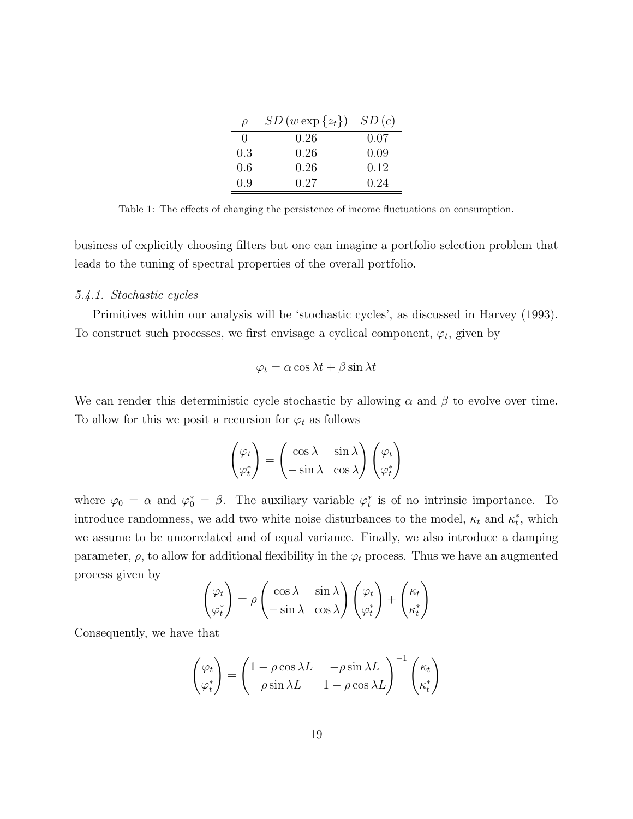| $\rho$       | $SD(w \exp\{z_t\})$ | SD(c) |
|--------------|---------------------|-------|
| $\mathbf{0}$ | 0.26                | 0.07  |
| 0.3          | 0.26                | 0.09  |
| 0.6          | 0.26                | 0.12  |
| 0.9          | 0.27                | 0.24  |

<span id="page-19-0"></span>Table 1: The effects of changing the persistence of income fluctuations on consumption.

business of explicitly choosing filters but one can imagine a portfolio selection problem that leads to the tuning of spectral properties of the overall portfolio.

#### 5.4.1. Stochastic cycles

Primitives within our analysis will be 'stochastic cycles', as discussed in [Harvey](#page-25-4) [\(1993\)](#page-25-4). To construct such processes, we first envisage a cyclical component,  $\varphi_t$ , given by

$$
\varphi_t = \alpha \cos \lambda t + \beta \sin \lambda t
$$

We can render this deterministic cycle stochastic by allowing  $\alpha$  and  $\beta$  to evolve over time. To allow for this we posit a recursion for  $\varphi_t$  as follows

$$
\begin{pmatrix} \varphi_t \\ \varphi_t^* \end{pmatrix} = \begin{pmatrix} \cos \lambda & \sin \lambda \\ -\sin \lambda & \cos \lambda \end{pmatrix} \begin{pmatrix} \varphi_t \\ \varphi_t^* \end{pmatrix}
$$

where  $\varphi_0 = \alpha$  and  $\varphi_0^* = \beta$ . The auxiliary variable  $\varphi_t^*$  is of no intrinsic importance. To introduce randomness, we add two white noise disturbances to the model,  $\kappa_t$  and  $\kappa_t^*$ , which we assume to be uncorrelated and of equal variance. Finally, we also introduce a damping parameter,  $\rho$ , to allow for additional flexibility in the  $\varphi_t$  process. Thus we have an augmented process given by

$$
\begin{pmatrix} \varphi_t \\ \varphi_t^* \end{pmatrix} = \rho \begin{pmatrix} \cos \lambda & \sin \lambda \\ -\sin \lambda & \cos \lambda \end{pmatrix} \begin{pmatrix} \varphi_t \\ \varphi_t^* \end{pmatrix} + \begin{pmatrix} \kappa_t \\ \kappa_t^* \end{pmatrix}
$$

Consequently, we have that

$$
\begin{pmatrix} \varphi_t \\ \varphi_t^* \end{pmatrix} = \begin{pmatrix} 1 - \rho \cos \lambda L & -\rho \sin \lambda L \\ \rho \sin \lambda L & 1 - \rho \cos \lambda L \end{pmatrix}^{-1} \begin{pmatrix} \kappa_t \\ \kappa_t^* \end{pmatrix}
$$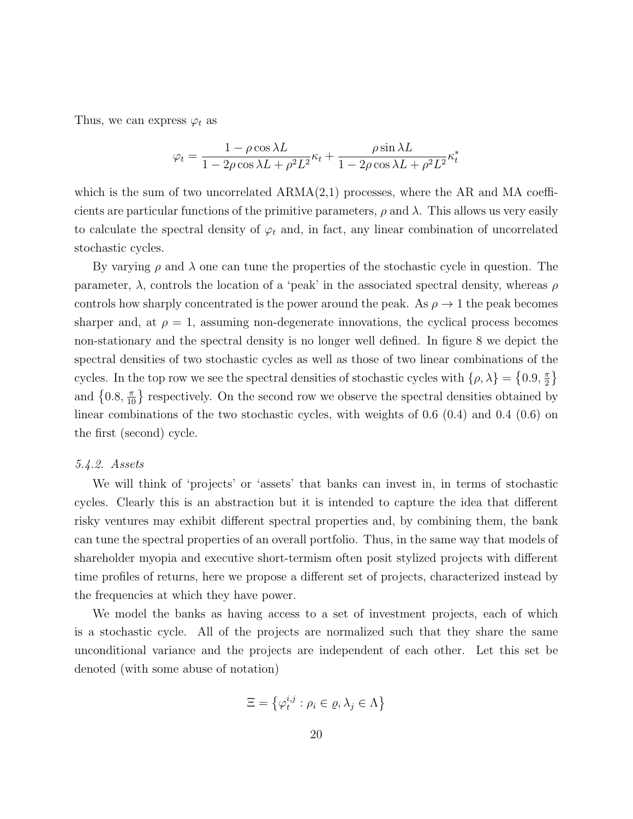Thus, we can express  $\varphi_t$  as

$$
\varphi_t = \frac{1 - \rho \cos \lambda L}{1 - 2\rho \cos \lambda L + \rho^2 L^2} \kappa_t + \frac{\rho \sin \lambda L}{1 - 2\rho \cos \lambda L + \rho^2 L^2} \kappa_t^*
$$

which is the sum of two uncorrelated  $ARMA(2,1)$  processes, where the AR and MA coefficients are particular functions of the primitive parameters,  $\rho$  and  $\lambda$ . This allows us very easily to calculate the spectral density of  $\varphi_t$  and, in fact, any linear combination of uncorrelated stochastic cycles.

By varying  $\rho$  and  $\lambda$  one can tune the properties of the stochastic cycle in question. The parameter,  $\lambda$ , controls the location of a 'peak' in the associated spectral density, whereas  $\rho$ controls how sharply concentrated is the power around the peak. As  $\rho \rightarrow 1$  the peak becomes sharper and, at  $\rho = 1$ , assuming non-degenerate innovations, the cyclical process becomes non-stationary and the spectral density is no longer well defined. In figure [8](#page-31-0) we depict the spectral densities of two stochastic cycles as well as those of two linear combinations of the cycles. In the top row we see the spectral densities of stochastic cycles with  $\{\rho, \lambda\} = \{0.9, \frac{\pi}{2}$  $\frac{\pi}{2}$ and  $\{0.8, \frac{\pi}{10}\}\$  respectively. On the second row we observe the spectral densities obtained by linear combinations of the two stochastic cycles, with weights of 0.6 (0.4) and 0.4 (0.6) on the first (second) cycle.

#### 5.4.2. Assets

We will think of 'projects' or 'assets' that banks can invest in, in terms of stochastic cycles. Clearly this is an abstraction but it is intended to capture the idea that different risky ventures may exhibit different spectral properties and, by combining them, the bank can tune the spectral properties of an overall portfolio. Thus, in the same way that models of shareholder myopia and executive short-termism often posit stylized projects with different time profiles of returns, here we propose a different set of projects, characterized instead by the frequencies at which they have power.

We model the banks as having access to a set of investment projects, each of which is a stochastic cycle. All of the projects are normalized such that they share the same unconditional variance and the projects are independent of each other. Let this set be denoted (with some abuse of notation)

$$
\Xi = \left\{ \varphi_t^{i,j} : \rho_i \in \varrho, \lambda_j \in \Lambda \right\}
$$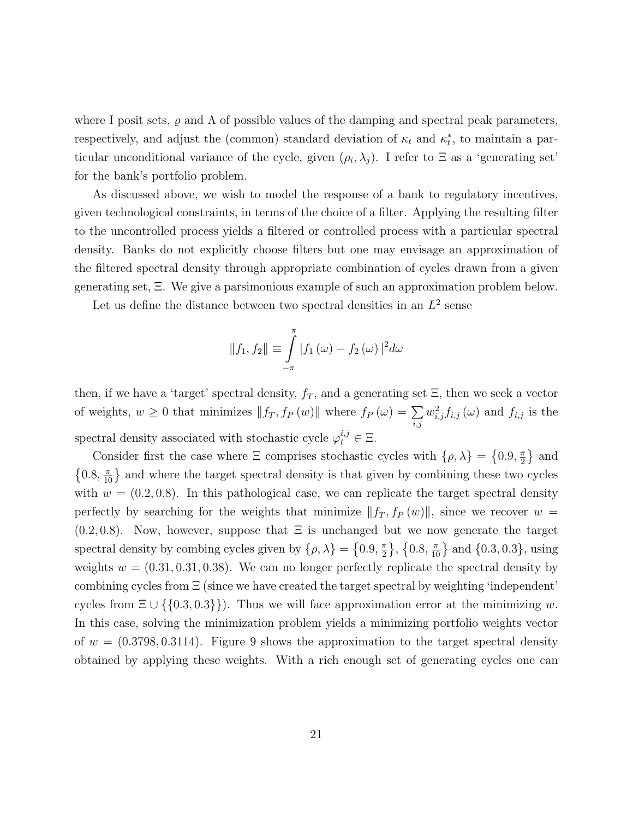where I posit sets,  $\rho$  and  $\Lambda$  of possible values of the damping and spectral peak parameters, respectively, and adjust the (common) standard deviation of  $\kappa_t$  and  $\kappa_t^*$ , to maintain a particular unconditional variance of the cycle, given  $(\rho_i, \lambda_j)$ . I refer to  $\Xi$  as a 'generating set' for the bank's portfolio problem.

As discussed above, we wish to model the response of a bank to regulatory incentives, given technological constraints, in terms of the choice of a filter. Applying the resulting filter to the uncontrolled process yields a filtered or controlled process with a particular spectral density. Banks do not explicitly choose filters but one may envisage an approximation of the filtered spectral density through appropriate combination of cycles drawn from a given generating set, Ξ. We give a parsimonious example of such an approximation problem below.

Let us define the distance between two spectral densities in an  $L^2$  sense

$$
||f_1, f_2|| \equiv \int_{-\pi}^{\pi} |f_1(\omega) - f_2(\omega)|^2 d\omega
$$

then, if we have a 'target' spectral density,  $f_T$ , and a generating set  $\Xi$ , then we seek a vector of weights,  $w \geq 0$  that minimizes  $|| f_T, f_P (w) ||$  where  $f_P (\omega) = \sum$ i,j  $w_{i,j}^2 f_{i,j}(\omega)$  and  $f_{i,j}$  is the spectral density associated with stochastic cycle  $\varphi_t^{i,j} \in \Xi$ .

Consider first the case where  $\Xi$  comprises stochastic cycles with  $\{\rho, \lambda\} = \{0.9, \frac{\pi}{2}\}$  $\frac{\pi}{2}$  and  $\{0.8, \frac{\pi}{10}\}\$  and where the target spectral density is that given by combining these two cycles with  $w = (0.2, 0.8)$ . In this pathological case, we can replicate the target spectral density perfectly by searching for the weights that minimize  $||f_T, f_P (w)||$ , since we recover w =  $(0.2, 0.8)$ . Now, however, suppose that  $\Xi$  is unchanged but we now generate the target spectral density by combing cycles given by  $\{\rho, \lambda\} = \{0.9, \frac{\pi}{2}\}$  $\{\frac{\pi}{2}\}, \{0.8, \frac{\pi}{10}\}$  and  $\{0.3, 0.3\},$  using weights  $w = (0.31, 0.31, 0.38)$ . We can no longer perfectly replicate the spectral density by combining cycles from  $\Xi$  (since we have created the target spectral by weighting 'independent' cycles from  $\Xi \cup \{\{0.3, 0.3\}\}\)$ . Thus we will face approximation error at the minimizing w. In this case, solving the minimization problem yields a minimizing portfolio weights vector of  $w = (0.3798, 0.3114)$ . Figure [9](#page-31-1) shows the approximation to the target spectral density obtained by applying these weights. With a rich enough set of generating cycles one can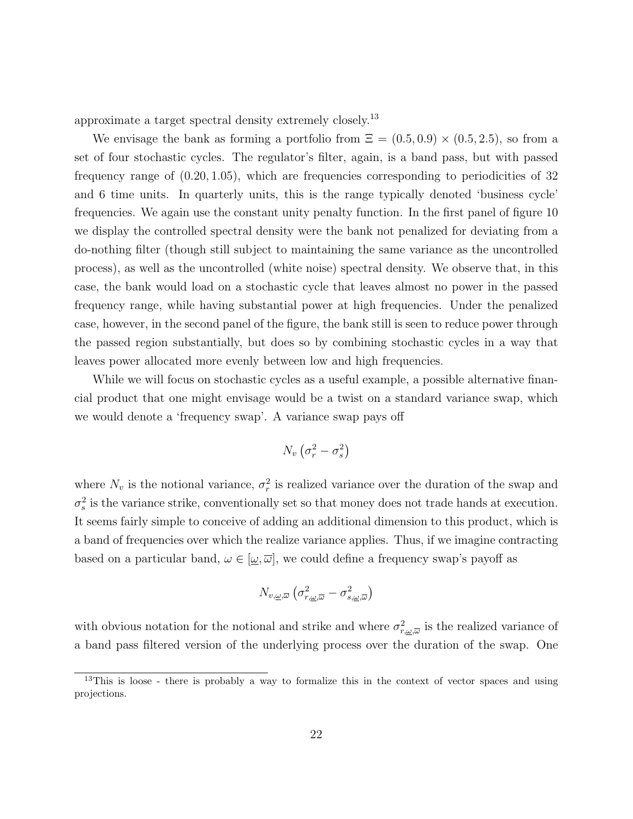approximate a target spectral density extremely closely.[13](#page-1-0)

We envisage the bank as forming a portfolio from  $\Xi = (0.5, 0.9) \times (0.5, 2.5)$ , so from a set of four stochastic cycles. The regulator's filter, again, is a band pass, but with passed frequency range of (0.20, 1.05), which are frequencies corresponding to periodicities of 32 and 6 time units. In quarterly units, this is the range typically denoted 'business cycle' frequencies. We again use the constant unity penalty function. In the first panel of figure [10](#page-32-0) we display the controlled spectral density were the bank not penalized for deviating from a do-nothing filter (though still subject to maintaining the same variance as the uncontrolled process), as well as the uncontrolled (white noise) spectral density. We observe that, in this case, the bank would load on a stochastic cycle that leaves almost no power in the passed frequency range, while having substantial power at high frequencies. Under the penalized case, however, in the second panel of the figure, the bank still is seen to reduce power through the passed region substantially, but does so by combining stochastic cycles in a way that leaves power allocated more evenly between low and high frequencies.

While we will focus on stochastic cycles as a useful example, a possible alternative financial product that one might envisage would be a twist on a standard variance swap, which we would denote a 'frequency swap'. A variance swap pays off

$$
N_v\left(\sigma_r^2-\sigma_s^2\right)
$$

where  $N_v$  is the notional variance,  $\sigma_r^2$  is realized variance over the duration of the swap and  $\sigma_s^2$  is the variance strike, conventionally set so that money does not trade hands at execution. It seems fairly simple to conceive of adding an additional dimension to this product, which is a band of frequencies over which the realize variance applies. Thus, if we imagine contracting based on a particular band,  $\omega \in [\underline{\omega}, \overline{\omega}]$ , we could define a frequency swap's payoff as

$$
N_{v,\underline{\omega},\overline{\omega}}\left(\sigma^2_{r,\underline{\omega},\overline{\omega}}-\sigma^2_{s,\underline{\omega},\overline{\omega}}\right)
$$

with obvious notation for the notional and strike and where  $\sigma_{r,\omega,\overline{\omega}}^2$  is the realized variance of a band pass filtered version of the underlying process over the duration of the swap. One

<sup>&</sup>lt;sup>13</sup>This is loose - there is probably a way to formalize this in the context of vector spaces and using projections.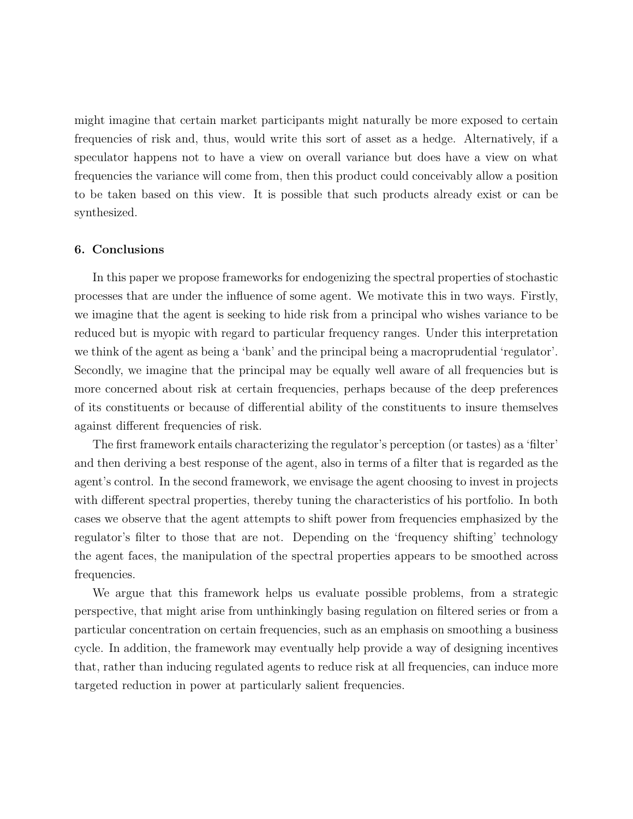might imagine that certain market participants might naturally be more exposed to certain frequencies of risk and, thus, would write this sort of asset as a hedge. Alternatively, if a speculator happens not to have a view on overall variance but does have a view on what frequencies the variance will come from, then this product could conceivably allow a position to be taken based on this view. It is possible that such products already exist or can be synthesized.

#### 6. Conclusions

In this paper we propose frameworks for endogenizing the spectral properties of stochastic processes that are under the influence of some agent. We motivate this in two ways. Firstly, we imagine that the agent is seeking to hide risk from a principal who wishes variance to be reduced but is myopic with regard to particular frequency ranges. Under this interpretation we think of the agent as being a 'bank' and the principal being a macroprudential 'regulator'. Secondly, we imagine that the principal may be equally well aware of all frequencies but is more concerned about risk at certain frequencies, perhaps because of the deep preferences of its constituents or because of differential ability of the constituents to insure themselves against different frequencies of risk.

The first framework entails characterizing the regulator's perception (or tastes) as a 'filter' and then deriving a best response of the agent, also in terms of a filter that is regarded as the agent's control. In the second framework, we envisage the agent choosing to invest in projects with different spectral properties, thereby tuning the characteristics of his portfolio. In both cases we observe that the agent attempts to shift power from frequencies emphasized by the regulator's filter to those that are not. Depending on the 'frequency shifting' technology the agent faces, the manipulation of the spectral properties appears to be smoothed across frequencies.

We argue that this framework helps us evaluate possible problems, from a strategic perspective, that might arise from unthinkingly basing regulation on filtered series or from a particular concentration on certain frequencies, such as an emphasis on smoothing a business cycle. In addition, the framework may eventually help provide a way of designing incentives that, rather than inducing regulated agents to reduce risk at all frequencies, can induce more targeted reduction in power at particularly salient frequencies.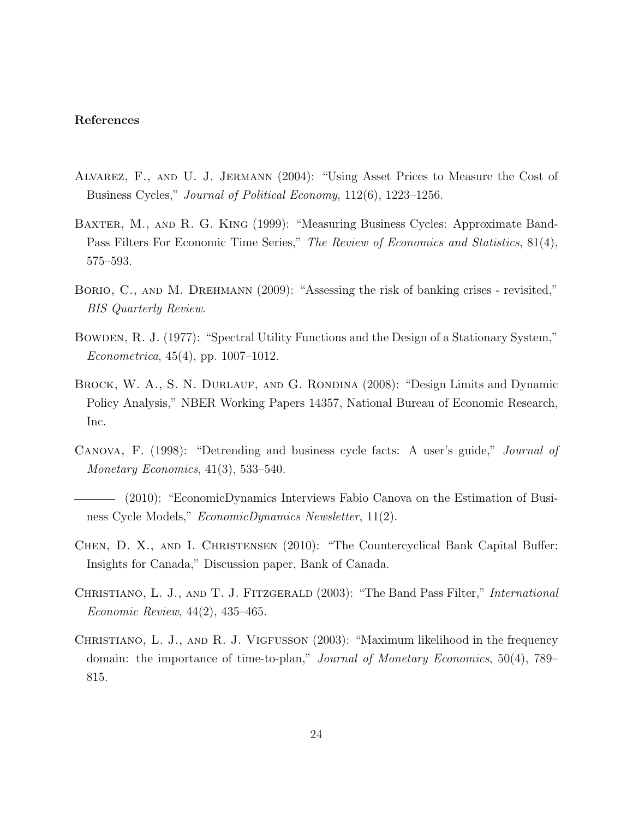#### References

- <span id="page-24-9"></span>Alvarez, F., and U. J. Jermann (2004): "Using Asset Prices to Measure the Cost of Business Cycles," Journal of Political Economy, 112(6), 1223–1256.
- <span id="page-24-0"></span>Baxter, M., and R. G. King (1999): "Measuring Business Cycles: Approximate Band-Pass Filters For Economic Time Series," The Review of Economics and Statistics, 81(4), 575–593.
- <span id="page-24-6"></span>BORIO, C., AND M. DREHMANN (2009): "Assessing the risk of banking crises - revisited," BIS Quarterly Review.
- <span id="page-24-8"></span>Bowden, R. J. (1977): "Spectral Utility Functions and the Design of a Stationary System," Econometrica, 45(4), pp. 1007–1012.
- <span id="page-24-2"></span>BROCK, W. A., S. N. DURLAUF, AND G. RONDINA (2008): "Design Limits and Dynamic Policy Analysis," NBER Working Papers 14357, National Bureau of Economic Research, Inc.
- <span id="page-24-3"></span>Canova, F. (1998): "Detrending and business cycle facts: A user's guide," Journal of Monetary Economics, 41(3), 533–540.
- <span id="page-24-4"></span>(2010): "EconomicDynamics Interviews Fabio Canova on the Estimation of Business Cycle Models," EconomicDynamics Newsletter, 11(2).
- <span id="page-24-7"></span>Chen, D. X., and I. Christensen (2010): "The Countercyclical Bank Capital Buffer: Insights for Canada," Discussion paper, Bank of Canada.
- <span id="page-24-1"></span>CHRISTIANO, L. J., AND T. J. FITZGERALD (2003): "The Band Pass Filter," *International* Economic Review, 44(2), 435–465.
- <span id="page-24-5"></span>Christiano, L. J., and R. J. Vigfusson (2003): "Maximum likelihood in the frequency domain: the importance of time-to-plan," Journal of Monetary Economics, 50(4), 789– 815.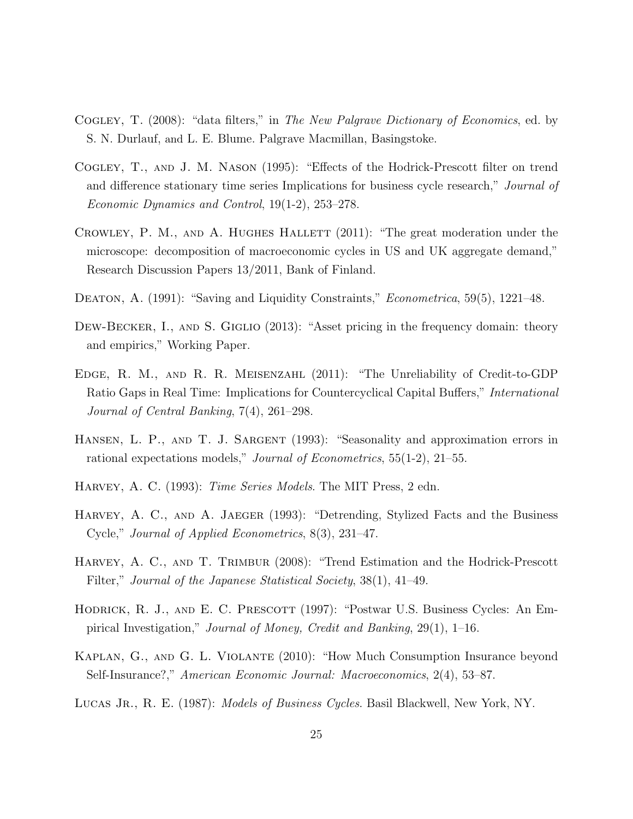- <span id="page-25-6"></span>Cogley, T. (2008): "data filters," in The New Palgrave Dictionary of Economics, ed. by S. N. Durlauf, and L. E. Blume. Palgrave Macmillan, Basingstoke.
- <span id="page-25-5"></span>Cogley, T., and J. M. Nason (1995): "Effects of the Hodrick-Prescott filter on trend and difference stationary time series Implications for business cycle research," Journal of Economic Dynamics and Control, 19(1-2), 253–278.
- <span id="page-25-0"></span>CROWLEY, P. M., AND A. HUGHES HALLETT (2011): "The great moderation under the microscope: decomposition of macroeconomic cycles in US and UK aggregate demand," Research Discussion Papers 13/2011, Bank of Finland.
- <span id="page-25-11"></span>DEATON, A. (1991): "Saving and Liquidity Constraints," *Econometrica*, 59(5), 1221–48.
- <span id="page-25-10"></span>DEW-BECKER, I., AND S. GIGLIO (2013): "Asset pricing in the frequency domain: theory and empirics," Working Paper.
- <span id="page-25-7"></span>Edge, R. M., and R. R. Meisenzahl (2011): "The Unreliability of Credit-to-GDP Ratio Gaps in Real Time: Implications for Countercyclical Capital Buffers," International Journal of Central Banking, 7(4), 261–298.
- <span id="page-25-8"></span>HANSEN, L. P., AND T. J. SARGENT (1993): "Seasonality and approximation errors in rational expectations models," Journal of Econometrics, 55(1-2), 21–55.
- <span id="page-25-4"></span>HARVEY, A. C. (1993): *Time Series Models*. The MIT Press, 2 edn.
- <span id="page-25-2"></span>HARVEY, A. C., AND A. JAEGER (1993): "Detrending, Stylized Facts and the Business Cycle," Journal of Applied Econometrics, 8(3), 231–47.
- <span id="page-25-3"></span>HARVEY, A. C., AND T. TRIMBUR (2008): "Trend Estimation and the Hodrick-Prescott Filter," Journal of the Japanese Statistical Society, 38(1), 41–49.
- <span id="page-25-1"></span>HODRICK, R. J., AND E. C. PRESCOTT (1997): "Postwar U.S. Business Cycles: An Empirical Investigation," Journal of Money, Credit and Banking, 29(1), 1–16.
- <span id="page-25-12"></span>Kaplan, G., and G. L. Violante (2010): "How Much Consumption Insurance beyond Self-Insurance?," American Economic Journal: Macroeconomics, 2(4), 53–87.
- <span id="page-25-9"></span>LUCAS JR., R. E. (1987): *Models of Business Cycles*. Basil Blackwell, New York, NY.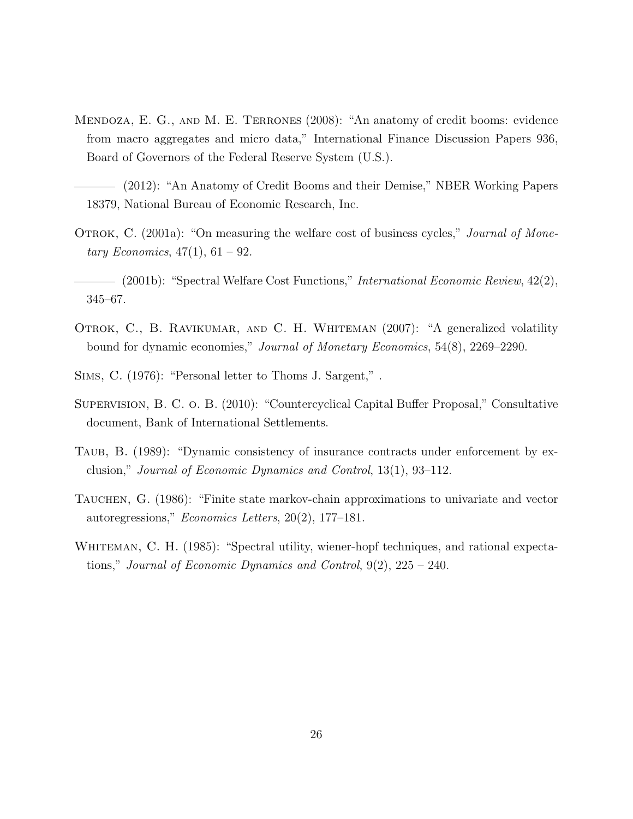- <span id="page-26-0"></span>Mendoza, E. G., and M. E. Terrones (2008): "An anatomy of credit booms: evidence from macro aggregates and micro data," International Finance Discussion Papers 936, Board of Governors of the Federal Reserve System (U.S.).
- <span id="page-26-1"></span>(2012): "An Anatomy of Credit Booms and their Demise," NBER Working Papers 18379, National Bureau of Economic Research, Inc.
- <span id="page-26-6"></span>OTROK, C. (2001a): "On measuring the welfare cost of business cycles," *Journal of Mone*tary Economics,  $47(1)$ ,  $61 - 92$ .
- <span id="page-26-7"></span>(2001b): "Spectral Welfare Cost Functions," International Economic Review, 42(2), 345–67.
- <span id="page-26-8"></span>OTROK, C., B. RAVIKUMAR, AND C. H. WHITEMAN (2007): "A generalized volatility bound for dynamic economies," Journal of Monetary Economics, 54(8), 2269–2290.
- <span id="page-26-3"></span>Sims, C. (1976): "Personal letter to Thoms J. Sargent," .
- <span id="page-26-2"></span>Supervision, B. C. o. B. (2010): "Countercyclical Capital Buffer Proposal," Consultative document, Bank of International Settlements.
- <span id="page-26-5"></span>TAUB, B. (1989): "Dynamic consistency of insurance contracts under enforcement by exclusion," Journal of Economic Dynamics and Control, 13(1), 93–112.
- <span id="page-26-9"></span>TAUCHEN, G. (1986): "Finite state markov-chain approximations to univariate and vector autoregressions," Economics Letters, 20(2), 177–181.
- <span id="page-26-4"></span>WHITEMAN, C. H. (1985): "Spectral utility, wiener-hopf techniques, and rational expectations," Journal of Economic Dynamics and Control, 9(2), 225 – 240.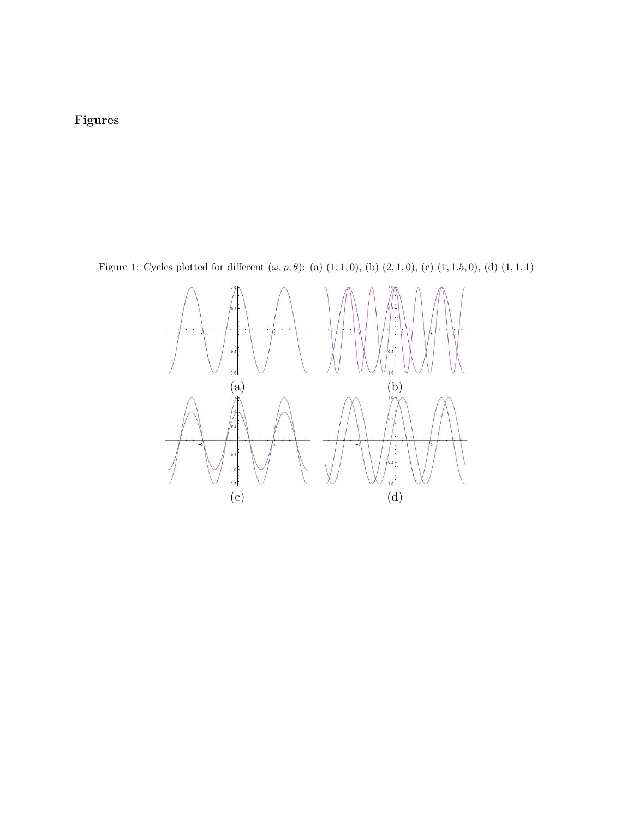## Figures

<span id="page-27-0"></span>Figure 1: Cycles plotted for different  $(\omega, \rho, \theta)$ : (a)  $(1, 1, 0)$ , (b)  $(2, 1, 0)$ , (c)  $(1, 1.5, 0)$ , (d)  $(1, 1, 1)$ 

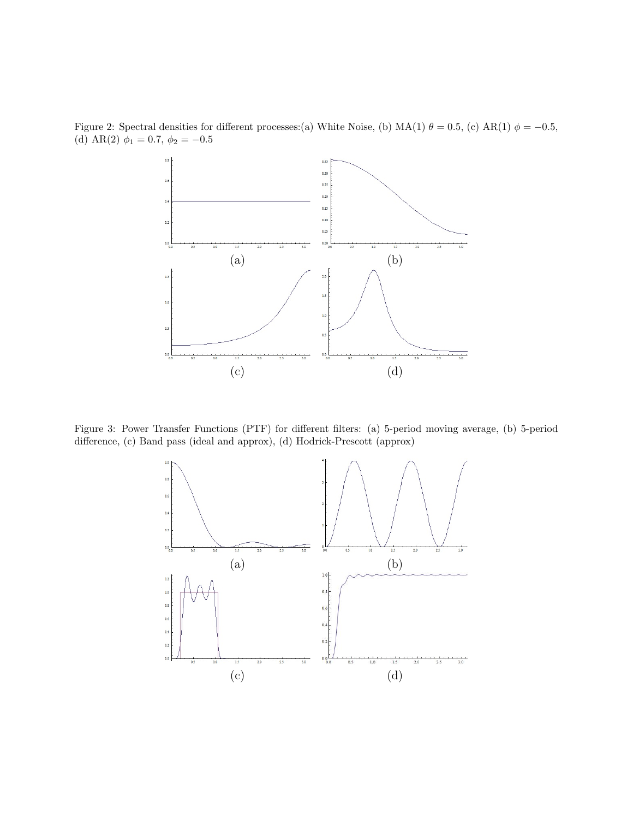

<span id="page-28-0"></span>Figure 2: Spectral densities for different processes:(a) White Noise, (b) MA(1)  $\theta = 0.5$ , (c) AR(1)  $\phi = -0.5$ , (d) AR(2)  $\phi_1 = 0.7, \phi_2 = -0.5$ 

<span id="page-28-1"></span>Figure 3: Power Transfer Functions (PTF) for different filters: (a) 5-period moving average, (b) 5-period difference, (c) Band pass (ideal and approx), (d) Hodrick-Prescott (approx)

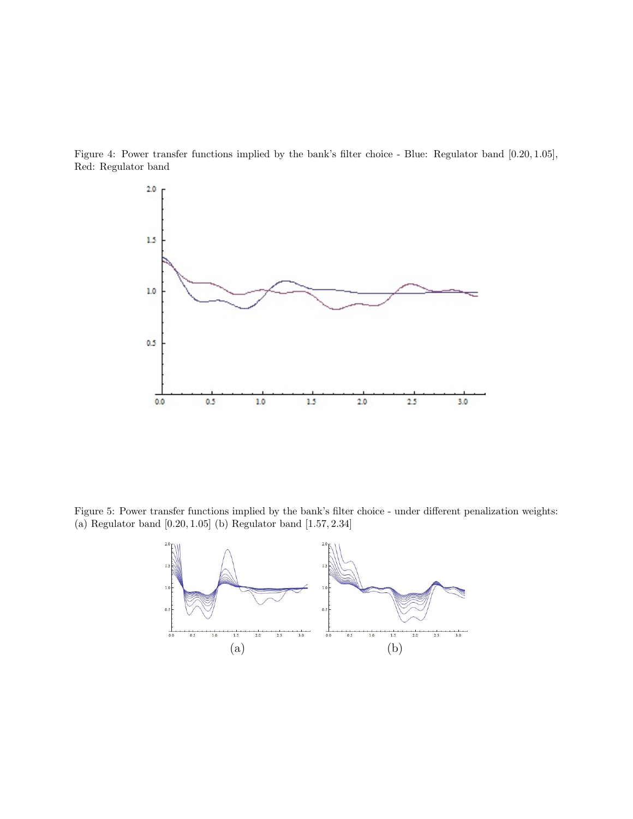<span id="page-29-0"></span>Figure 4: Power transfer functions implied by the bank's filter choice - Blue: Regulator band [0.20, 1.05], Red: Regulator band



<span id="page-29-1"></span>Figure 5: Power transfer functions implied by the bank's filter choice - under different penalization weights: (a) Regulator band [0.20, 1.05] (b) Regulator band [1.57, 2.34]

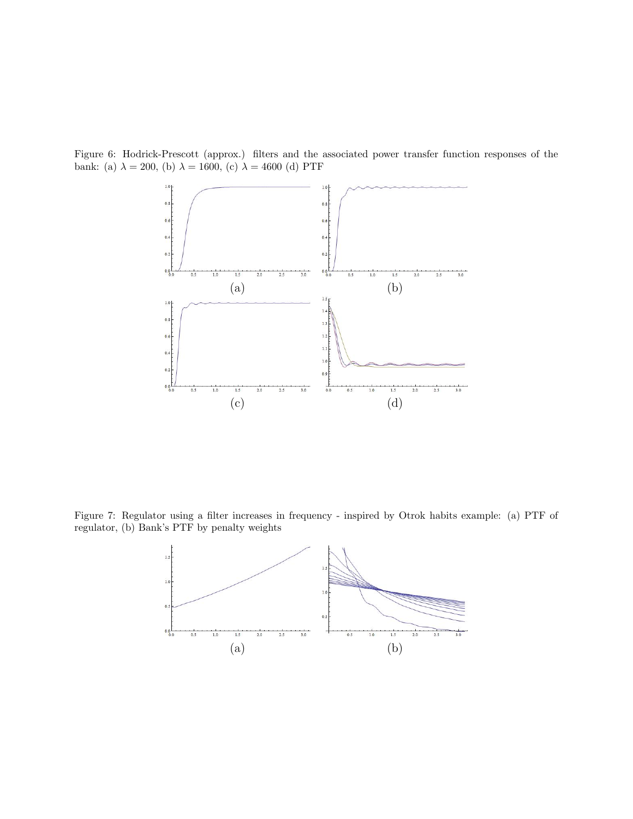<span id="page-30-0"></span>Figure 6: Hodrick-Prescott (approx.) filters and the associated power transfer function responses of the bank: (a)  $\lambda = 200$ , (b)  $\lambda = 1600$ , (c)  $\lambda = 4600$  (d) PTF



<span id="page-30-1"></span>Figure 7: Regulator using a filter increases in frequency - inspired by Otrok habits example: (a) PTF of regulator, (b) Bank's PTF by penalty weights

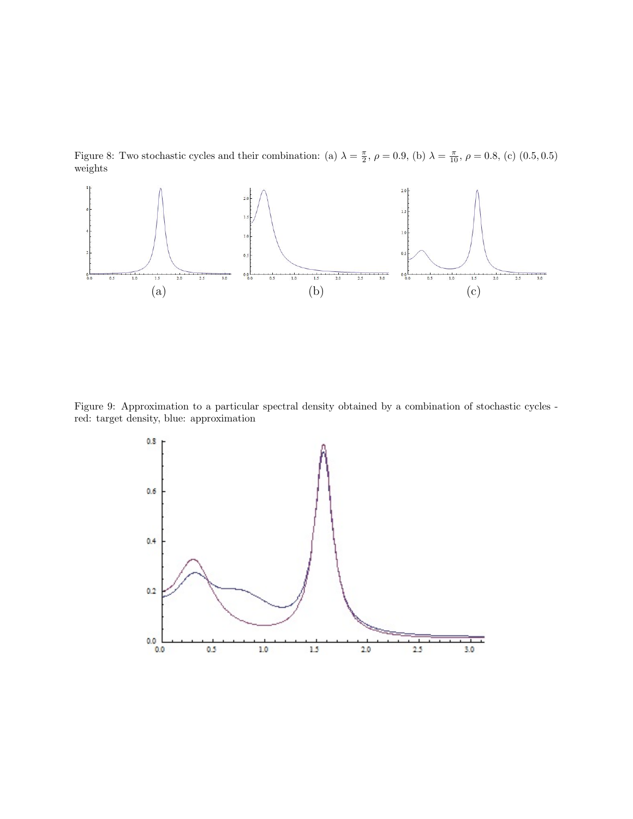<span id="page-31-0"></span>Figure 8: Two stochastic cycles and their combination: (a)  $\lambda = \frac{\pi}{2}$ ,  $\rho = 0.9$ , (b)  $\lambda = \frac{\pi}{10}$ ,  $\rho = 0.8$ , (c) (0.5, 0.5) weights



<span id="page-31-1"></span>Figure 9: Approximation to a particular spectral density obtained by a combination of stochastic cycles red: target density, blue: approximation

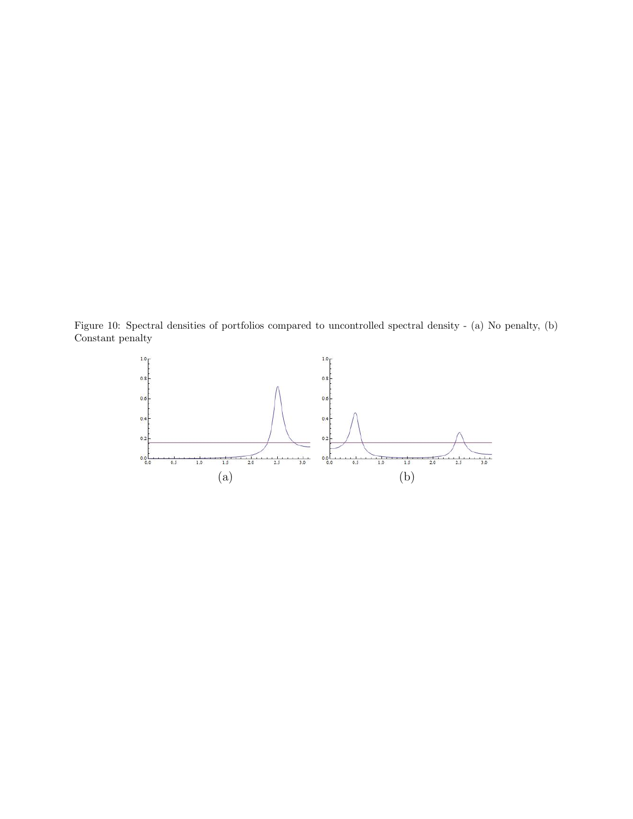<span id="page-32-0"></span>Figure 10: Spectral densities of portfolios compared to uncontrolled spectral density - (a) No penalty, (b) Constant penalty

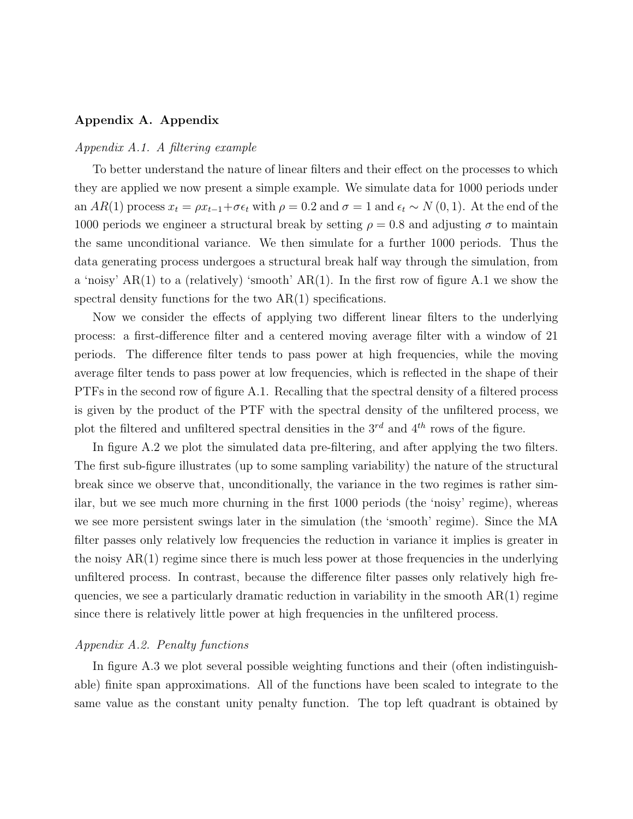#### Appendix A. Appendix

#### Appendix A.1. A filtering example

To better understand the nature of linear filters and their effect on the processes to which they are applied we now present a simple example. We simulate data for 1000 periods under an AR(1) process  $x_t = \rho x_{t-1} + \sigma \epsilon_t$  with  $\rho = 0.2$  and  $\sigma = 1$  and  $\epsilon_t \sim N(0, 1)$ . At the end of the 1000 periods we engineer a structural break by setting  $\rho = 0.8$  and adjusting  $\sigma$  to maintain the same unconditional variance. We then simulate for a further 1000 periods. Thus the data generating process undergoes a structural break half way through the simulation, from a 'noisy'  $AR(1)$  to a (relatively) 'smooth'  $AR(1)$ . In the first row of figure [A.1](#page-35-0) we show the spectral density functions for the two  $AR(1)$  specifications.

Now we consider the effects of applying two different linear filters to the underlying process: a first-difference filter and a centered moving average filter with a window of 21 periods. The difference filter tends to pass power at high frequencies, while the moving average filter tends to pass power at low frequencies, which is reflected in the shape of their PTFs in the second row of figure [A.1.](#page-35-0) Recalling that the spectral density of a filtered process is given by the product of the PTF with the spectral density of the unfiltered process, we plot the filtered and unfiltered spectral densities in the  $3^{rd}$  and  $4^{th}$  rows of the figure.

In figure [A.2](#page-36-0) we plot the simulated data pre-filtering, and after applying the two filters. The first sub-figure illustrates (up to some sampling variability) the nature of the structural break since we observe that, unconditionally, the variance in the two regimes is rather similar, but we see much more churning in the first 1000 periods (the 'noisy' regime), whereas we see more persistent swings later in the simulation (the 'smooth' regime). Since the MA filter passes only relatively low frequencies the reduction in variance it implies is greater in the noisy  $AR(1)$  regime since there is much less power at those frequencies in the underlying unfiltered process. In contrast, because the difference filter passes only relatively high frequencies, we see a particularly dramatic reduction in variability in the smooth  $AR(1)$  regime since there is relatively little power at high frequencies in the unfiltered process.

#### Appendix A.2. Penalty functions

In figure [A.3](#page-37-0) we plot several possible weighting functions and their (often indistinguishable) finite span approximations. All of the functions have been scaled to integrate to the same value as the constant unity penalty function. The top left quadrant is obtained by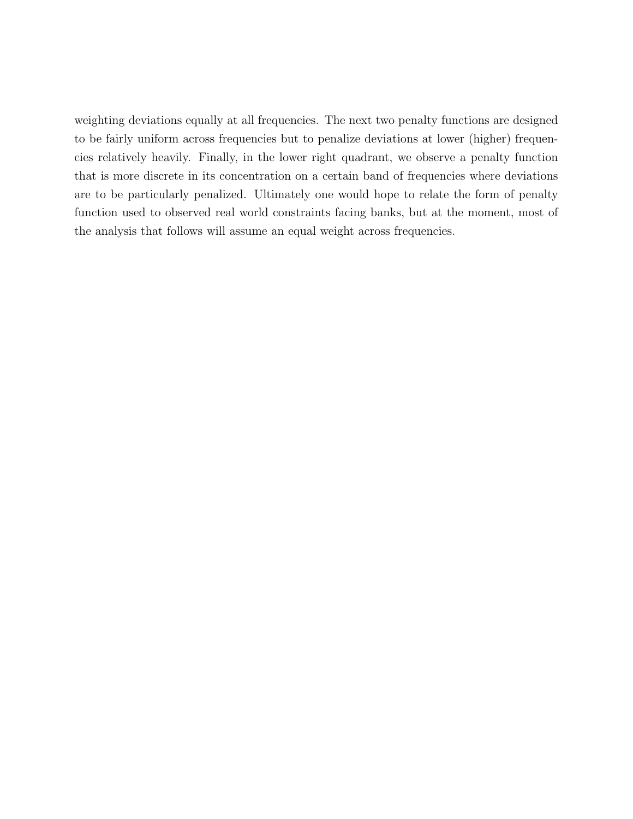weighting deviations equally at all frequencies. The next two penalty functions are designed to be fairly uniform across frequencies but to penalize deviations at lower (higher) frequencies relatively heavily. Finally, in the lower right quadrant, we observe a penalty function that is more discrete in its concentration on a certain band of frequencies where deviations are to be particularly penalized. Ultimately one would hope to relate the form of penalty function used to observed real world constraints facing banks, but at the moment, most of the analysis that follows will assume an equal weight across frequencies.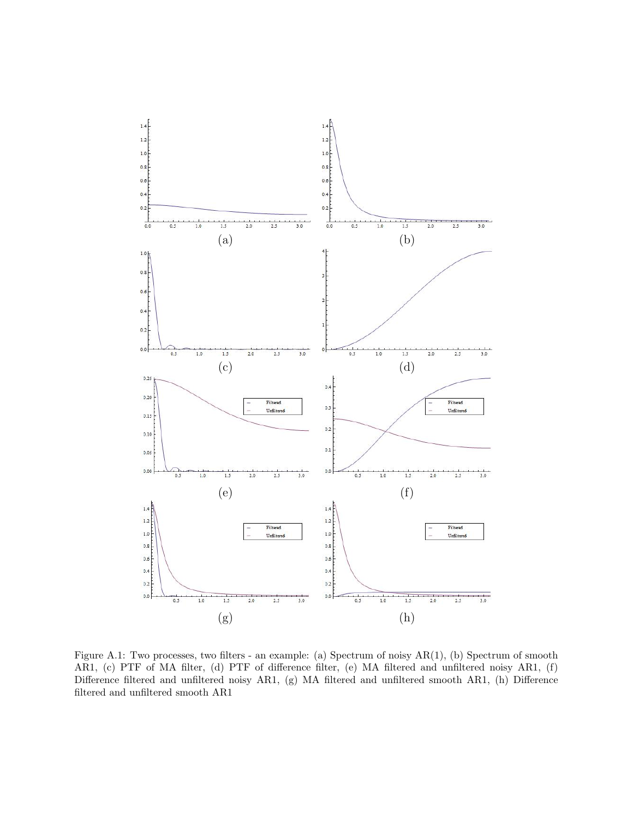<span id="page-35-0"></span>

Figure A.1: Two processes, two filters - an example: (a) Spectrum of noisy AR(1), (b) Spectrum of smooth AR1, (c) PTF of MA filter, (d) PTF of difference filter, (e) MA filtered and unfiltered noisy AR1, (f) Difference filtered and unfiltered noisy AR1, (g) MA filtered and unfiltered smooth AR1, (h) Difference filtered and unfiltered smooth AR1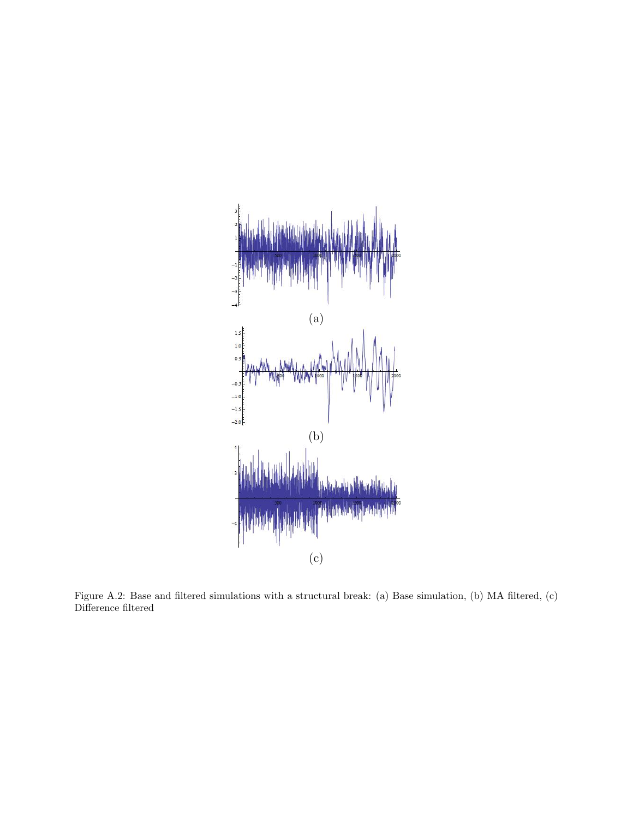<span id="page-36-0"></span>

Figure A.2: Base and filtered simulations with a structural break: (a) Base simulation, (b) MA filtered, (c) Difference filtered